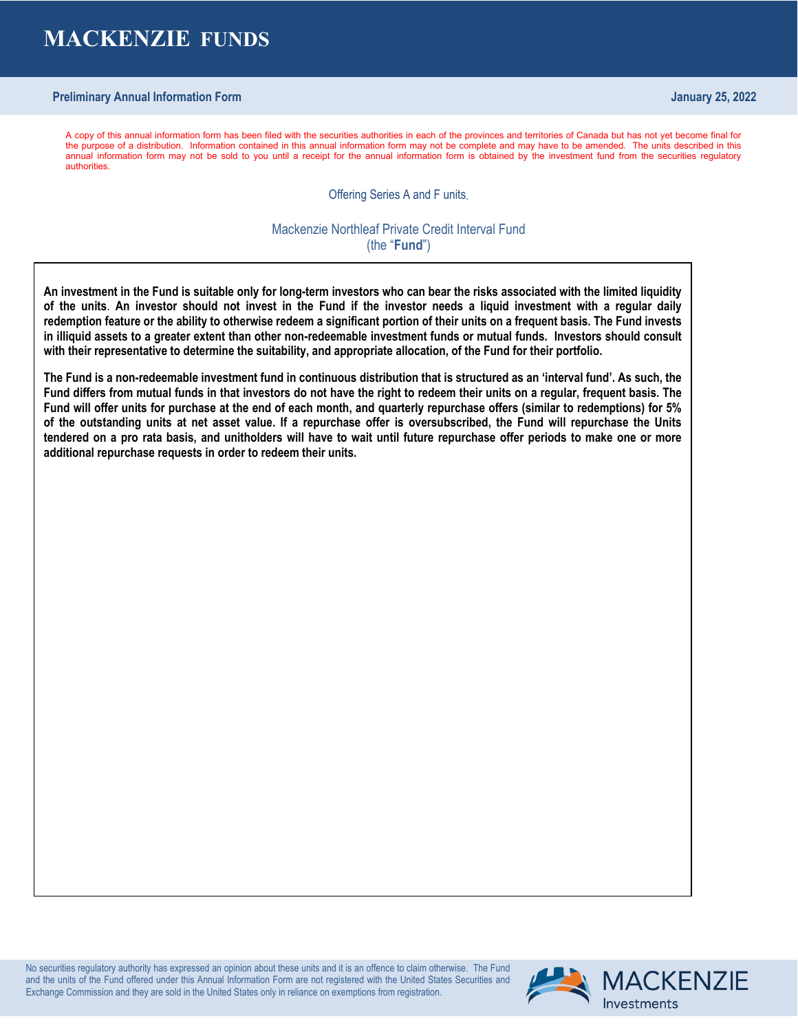# **MACKENZIE FUNDS**

# **Preliminary Annual Information Form January 25, 2022**

A copy of this annual information form has been filed with the securities authorities in each of the provinces and territories of Canada but has not yet become final for the purpose of a distribution. Information contained in this annual information form may not be complete and may have to be amended. The units described in this annual information form may not be sold to you until a receipt for the annual information form is obtained by the investment fund from the securities regulatory authorities.

Offering Series A and F units.

Mackenzie Northleaf Private Credit Interval Fund (the "**Fund**")

**An investment in the Fund is suitable only for long-term investors who can bear the risks associated with the limited liquidity of the units**. **An investor should not invest in the Fund if the investor needs a liquid investment with a regular daily redemption feature or the ability to otherwise redeem a significant portion of their units on a frequent basis. The Fund invests in illiquid assets to a greater extent than other non-redeemable investment funds or mutual funds. Investors should consult with their representative to determine the suitability, and appropriate allocation, of the Fund for their portfolio.**

**The Fund is a non-redeemable investment fund in continuous distribution that is structured as an 'interval fund'. As such, the Fund differs from mutual funds in that investors do not have the right to redeem their units on a regular, frequent basis. The Fund will offer units for purchase at the end of each month, and quarterly repurchase offers (similar to redemptions) for 5% of the outstanding units at net asset value. If a repurchase offer is oversubscribed, the Fund will repurchase the Units tendered on a pro rata basis, and unitholders will have to wait until future repurchase offer periods to make one or more additional repurchase requests in order to redeem their units.** 

No securities regulatory authority has expressed an opinion about these units and it is an offence to claim otherwise. The Fund and the units of the Fund offered under this Annual Information Form are not registered with the United States Securities and Exchange Commission and they are sold in the United States only in reliance on exemptions from registration.

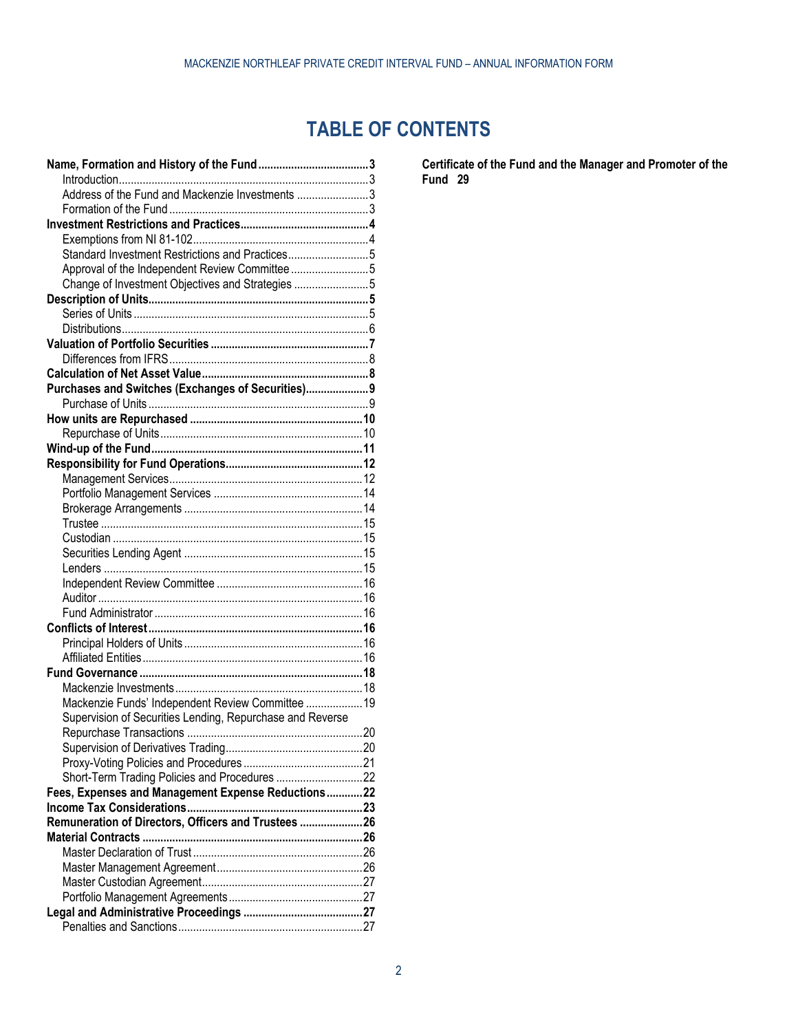# **TABLE OF CONTENTS**

| Address of the Fund and Mackenzie Investments 3           |    |
|-----------------------------------------------------------|----|
|                                                           |    |
|                                                           |    |
|                                                           |    |
| Standard Investment Restrictions and Practices5           |    |
| Approval of the Independent Review Committee 5            |    |
| Change of Investment Objectives and Strategies 5          |    |
|                                                           |    |
|                                                           |    |
|                                                           |    |
|                                                           |    |
|                                                           |    |
|                                                           |    |
| Purchases and Switches (Exchanges of Securities) 9        |    |
|                                                           |    |
|                                                           |    |
|                                                           |    |
|                                                           |    |
|                                                           |    |
|                                                           |    |
|                                                           |    |
|                                                           |    |
|                                                           |    |
|                                                           |    |
|                                                           |    |
|                                                           |    |
|                                                           |    |
|                                                           |    |
|                                                           |    |
|                                                           |    |
|                                                           |    |
|                                                           |    |
|                                                           |    |
|                                                           |    |
|                                                           |    |
| Mackenzie Funds' Independent Review Committee  19         |    |
| Supervision of Securities Lending, Repurchase and Reverse |    |
| Repurchase Transactions                                   | 20 |
|                                                           |    |
|                                                           |    |
| Short-Term Trading Policies and Procedures 22             |    |
| Fees, Expenses and Management Expense Reductions22        |    |
|                                                           |    |
| Remuneration of Directors, Officers and Trustees 26       |    |
|                                                           |    |
|                                                           |    |
|                                                           |    |
|                                                           |    |
|                                                           |    |
|                                                           |    |
|                                                           |    |
|                                                           |    |

**[Certificate of the Fund and the Manager and Promoter of the](#page-28-0)  [Fund](#page-28-0) 29**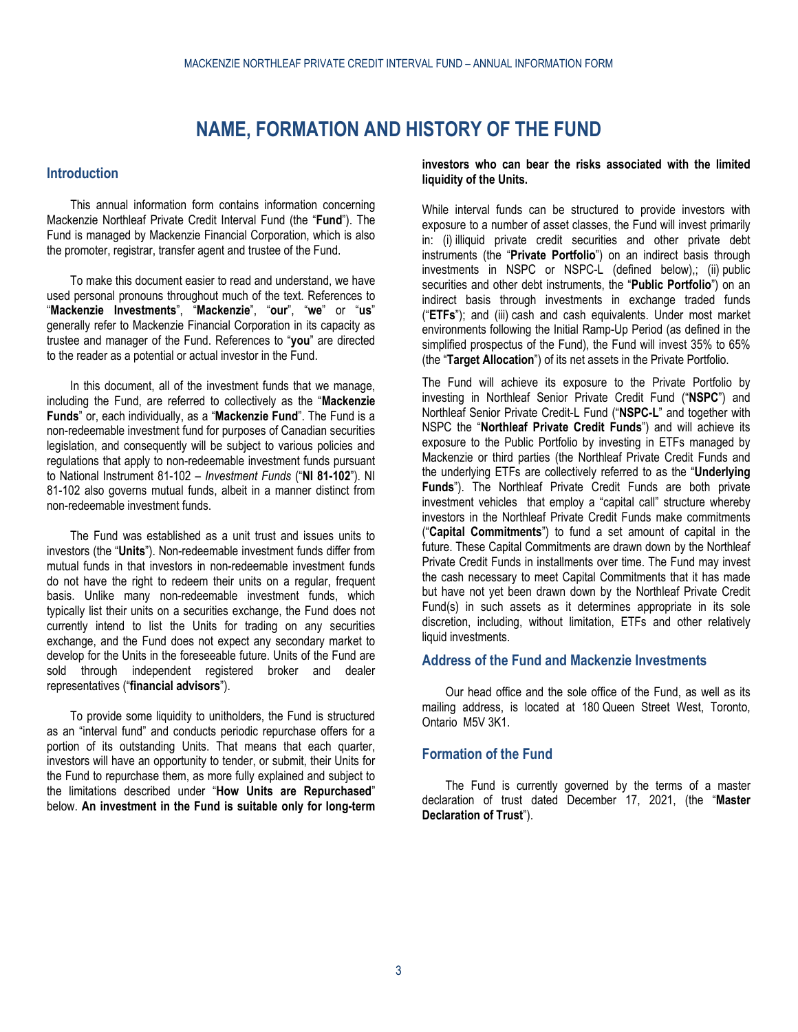# **NAME, FORMATION AND HISTORY OF THE FUND**

## <span id="page-2-1"></span><span id="page-2-0"></span>**Introduction**

This annual information form contains information concerning Mackenzie Northleaf Private Credit Interval Fund (the "**Fund**"). The Fund is managed by Mackenzie Financial Corporation, which is also the promoter, registrar, transfer agent and trustee of the Fund.

To make this document easier to read and understand, we have used personal pronouns throughout much of the text. References to "**Mackenzie Investments**", "**Mackenzie**", "**our**", "**we**" or "**us**" generally refer to Mackenzie Financial Corporation in its capacity as trustee and manager of the Fund. References to "**you**" are directed to the reader as a potential or actual investor in the Fund.

In this document, all of the investment funds that we manage, including the Fund, are referred to collectively as the "**Mackenzie Funds**" or, each individually, as a "**Mackenzie Fund**". The Fund is a non-redeemable investment fund for purposes of Canadian securities legislation, and consequently will be subject to various policies and regulations that apply to non-redeemable investment funds pursuant to National Instrument 81-102 – *Investment Funds* ("**NI 81-102**"). NI 81-102 also governs mutual funds, albeit in a manner distinct from non-redeemable investment funds.

The Fund was established as a unit trust and issues units to investors (the "**Units**"). Non-redeemable investment funds differ from mutual funds in that investors in non-redeemable investment funds do not have the right to redeem their units on a regular, frequent basis. Unlike many non-redeemable investment funds, which typically list their units on a securities exchange, the Fund does not currently intend to list the Units for trading on any securities exchange, and the Fund does not expect any secondary market to develop for the Units in the foreseeable future. Units of the Fund are sold through independent registered broker and dealer representatives ("**financial advisors**").

To provide some liquidity to unitholders, the Fund is structured as an "interval fund" and conducts periodic repurchase offers for a portion of its outstanding Units. That means that each quarter, investors will have an opportunity to tender, or submit, their Units for the Fund to repurchase them, as more fully explained and subject to the limitations described under "**How Units are Repurchased**" below. **An investment in the Fund is suitable only for long-term**  **investors who can bear the risks associated with the limited liquidity of the Units.**

While interval funds can be structured to provide investors with exposure to a number of asset classes, the Fund will invest primarily in: (i) illiquid private credit securities and other private debt instruments (the "**Private Portfolio**") on an indirect basis through investments in NSPC or NSPC-L (defined below),; (ii) public securities and other debt instruments, the "**Public Portfolio**") on an indirect basis through investments in exchange traded funds ("**ETFs**"); and (iii) cash and cash equivalents. Under most market environments following the Initial Ramp-Up Period (as defined in the simplified prospectus of the Fund), the Fund will invest 35% to 65% (the "**Target Allocation**") of its net assets in the Private Portfolio.

The Fund will achieve its exposure to the Private Portfolio by investing in Northleaf Senior Private Credit Fund ("**NSPC**") and Northleaf Senior Private Credit-L Fund ("**NSPC-L**" and together with NSPC the "**Northleaf Private Credit Funds**") and will achieve its exposure to the Public Portfolio by investing in ETFs managed by Mackenzie or third parties (the Northleaf Private Credit Funds and the underlying ETFs are collectively referred to as the "**Underlying Funds**"). The Northleaf Private Credit Funds are both private investment vehicles that employ a "capital call" structure whereby investors in the Northleaf Private Credit Funds make commitments ("**Capital Commitments**") to fund a set amount of capital in the future. These Capital Commitments are drawn down by the Northleaf Private Credit Funds in installments over time. The Fund may invest the cash necessary to meet Capital Commitments that it has made but have not yet been drawn down by the Northleaf Private Credit Fund(s) in such assets as it determines appropriate in its sole discretion, including, without limitation, ETFs and other relatively liquid investments.

# <span id="page-2-2"></span>**Address of the Fund and Mackenzie Investments**

Our head office and the sole office of the Fund, as well as its mailing address, is located at 180 Queen Street West, Toronto, Ontario M5V 3K1.

## <span id="page-2-3"></span>**Formation of the Fund**

The Fund is currently governed by the terms of a master declaration of trust dated December 17, 2021, (the "**Master Declaration of Trust**").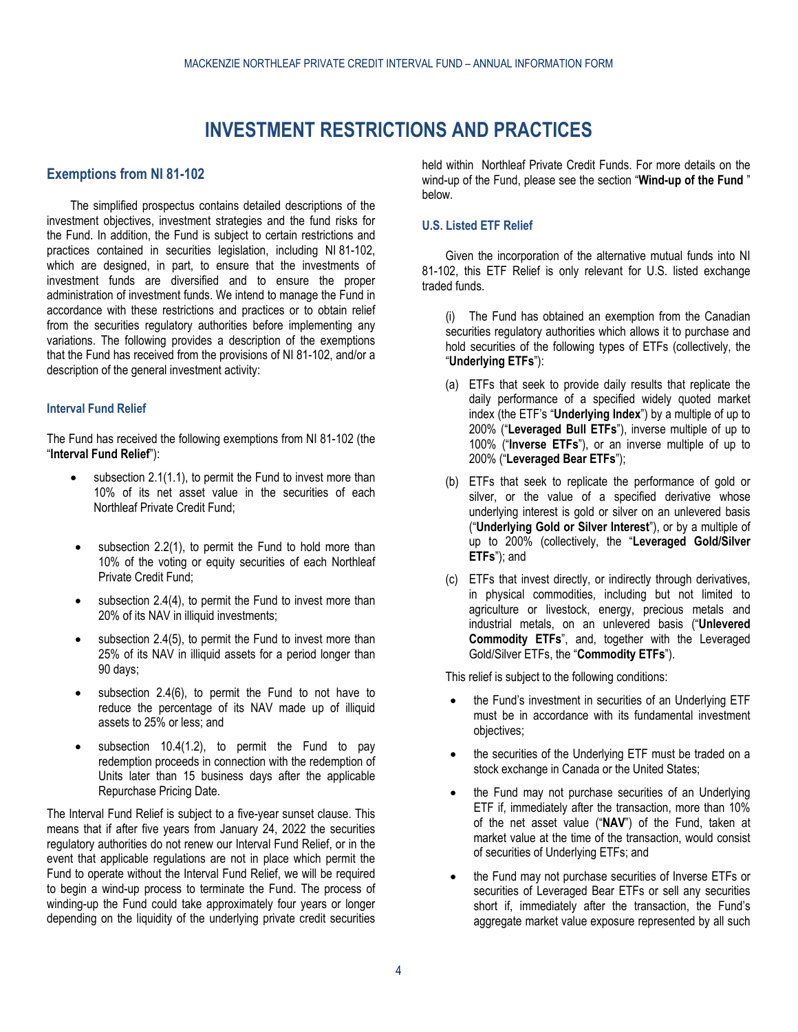# **INVESTMENT RESTRICTIONS AND PRACTICES**

## <span id="page-3-1"></span><span id="page-3-0"></span>**Exemptions from NI 81-102**

The simplified prospectus contains detailed descriptions of the investment objectives, investment strategies and the fund risks for the Fund. In addition, the Fund is subject to certain restrictions and practices contained in securities legislation, including NI 81-102, which are designed, in part, to ensure that the investments of investment funds are diversified and to ensure the proper administration of investment funds. We intend to manage the Fund in accordance with these restrictions and practices or to obtain relief from the securities regulatory authorities before implementing any variations. The following provides a description of the exemptions that the Fund has received from the provisions of NI 81-102, and/or a description of the general investment activity:

### **Interval Fund Relief**

The Fund has received the following exemptions from NI 81-102 (the "**Interval Fund Relief**"):

- subsection 2.1(1.1), to permit the Fund to invest more than 10% of its net asset value in the securities of each Northleaf Private Credit Fund;
- subsection 2.2(1), to permit the Fund to hold more than 10% of the voting or equity securities of each Northleaf Private Credit Fund;
- subsection  $2.4(4)$ , to permit the Fund to invest more than 20% of its NAV in illiquid investments;
- subsection  $2.4(5)$ , to permit the Fund to invest more than 25% of its NAV in illiquid assets for a period longer than 90 days;
- subsection  $2.4(6)$ , to permit the Fund to not have to reduce the percentage of its NAV made up of illiquid assets to 25% or less; and
- subsection  $10.4(1.2)$ , to permit the Fund to pay redemption proceeds in connection with the redemption of Units later than 15 business days after the applicable Repurchase Pricing Date.

The Interval Fund Relief is subject to a five-year sunset clause. This means that if after five years from January 24, 2022 the securities regulatory authorities do not renew our Interval Fund Relief, or in the event that applicable regulations are not in place which permit the Fund to operate without the Interval Fund Relief, we will be required to begin a wind-up process to terminate the Fund. The process of winding-up the Fund could take approximately four years or longer depending on the liquidity of the underlying private credit securities

held within Northleaf Private Credit Funds. For more details on the wind-up of the Fund, please see the section "**[Wind-up of the Fund](#page-10-0)** " below.

## **U.S. Listed ETF Relief**

Given the incorporation of the alternative mutual funds into NI 81-102, this ETF Relief is only relevant for U.S. listed exchange traded funds.

(i) The Fund has obtained an exemption from the Canadian securities regulatory authorities which allows it to purchase and hold securities of the following types of ETFs (collectively, the "**Underlying ETFs**"):

- (a) ETFs that seek to provide daily results that replicate the daily performance of a specified widely quoted market index (the ETF's "**Underlying Index**") by a multiple of up to 200% ("**Leveraged Bull ETFs**"), inverse multiple of up to 100% ("**Inverse ETFs**"), or an inverse multiple of up to 200% ("**Leveraged Bear ETFs**");
- (b) ETFs that seek to replicate the performance of gold or silver, or the value of a specified derivative whose underlying interest is gold or silver on an unlevered basis ("**Underlying Gold or Silver Interest**"), or by a multiple of up to 200% (collectively, the "**Leveraged Gold/Silver ETFs**"); and
- (c) ETFs that invest directly, or indirectly through derivatives, in physical commodities, including but not limited to agriculture or livestock, energy, precious metals and industrial metals, on an unlevered basis ("**Unlevered Commodity ETFs**", and, together with the Leveraged Gold/Silver ETFs, the "**Commodity ETFs**").

This relief is subject to the following conditions:

- the Fund's investment in securities of an Underlying ETF must be in accordance with its fundamental investment objectives;
- the securities of the Underlying ETF must be traded on a stock exchange in Canada or the United States;
- the Fund may not purchase securities of an Underlying ETF if, immediately after the transaction, more than 10% of the net asset value ("**NAV**") of the Fund, taken at market value at the time of the transaction, would consist of securities of Underlying ETFs; and
- the Fund may not purchase securities of Inverse ETFs or securities of Leveraged Bear ETFs or sell any securities short if, immediately after the transaction, the Fund's aggregate market value exposure represented by all such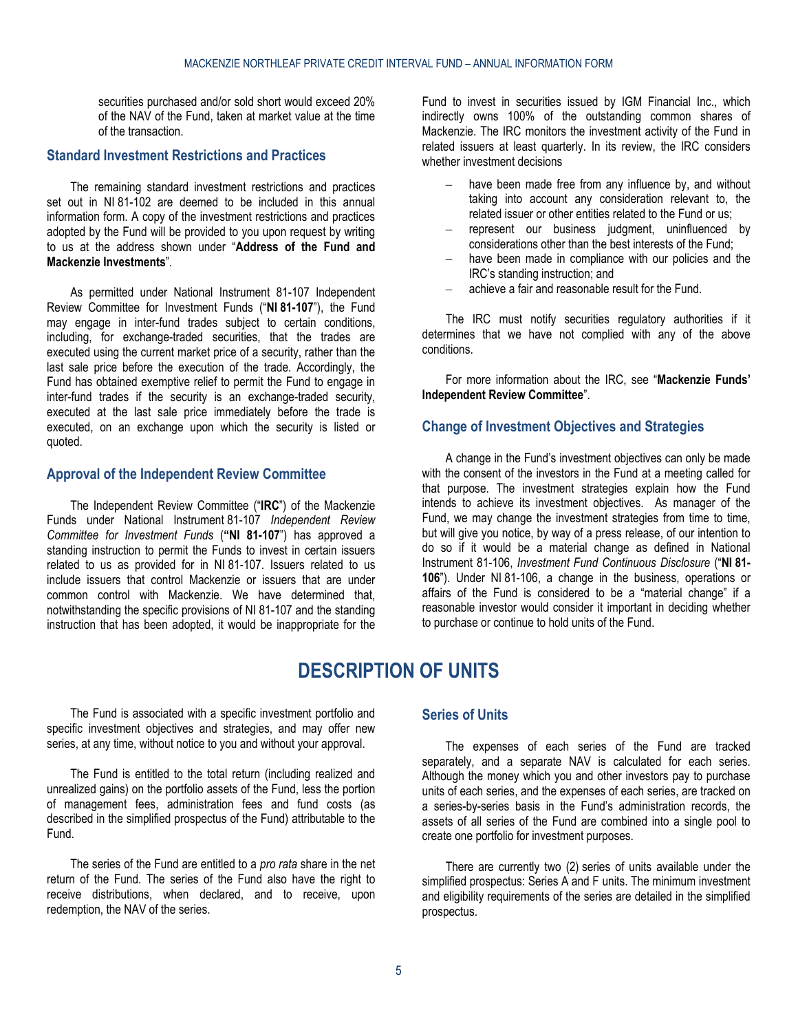securities purchased and/or sold short would exceed 20% of the NAV of the Fund, taken at market value at the time of the transaction.

### <span id="page-4-0"></span>**Standard Investment Restrictions and Practices**

The remaining standard investment restrictions and practices set out in NI 81-102 are deemed to be included in this annual information form. A copy of the investment restrictions and practices adopted by the Fund will be provided to you upon request by writing to us at the address shown under "**[Address of the Fund and](#page-2-2)  [Mackenzie Investments](#page-2-2)**".

As permitted under National Instrument 81-107 Independent Review Committee for Investment Funds ("**NI 81-107**"), the Fund may engage in inter-fund trades subject to certain conditions, including, for exchange-traded securities, that the trades are executed using the current market price of a security, rather than the last sale price before the execution of the trade. Accordingly, the Fund has obtained exemptive relief to permit the Fund to engage in inter-fund trades if the security is an exchange-traded security, executed at the last sale price immediately before the trade is executed, on an exchange upon which the security is listed or quoted.

## <span id="page-4-1"></span>**Approval of the Independent Review Committee**

The Independent Review Committee ("**IRC**") of the Mackenzie Funds under National Instrument 81-107 *Independent Review Committee for Investment Funds* (**"NI 81-107**") has approved a standing instruction to permit the Funds to invest in certain issuers related to us as provided for in NI 81-107. Issuers related to us include issuers that control Mackenzie or issuers that are under common control with Mackenzie. We have determined that, notwithstanding the specific provisions of NI 81-107 and the standing instruction that has been adopted, it would be inappropriate for the Fund to invest in securities issued by IGM Financial Inc., which indirectly owns 100% of the outstanding common shares of Mackenzie. The IRC monitors the investment activity of the Fund in related issuers at least quarterly. In its review, the IRC considers whether investment decisions

- have been made free from any influence by, and without taking into account any consideration relevant to, the related issuer or other entities related to the Fund or us;
- represent our business judgment, uninfluenced by considerations other than the best interests of the Fund;
- have been made in compliance with our policies and the IRC's standing instruction; and
- achieve a fair and reasonable result for the Fund.

The IRC must notify securities regulatory authorities if it determines that we have not complied with any of the above conditions.

For more information about the IRC, see "**[Mackenzie Funds'](#page-18-0)  [Independent Review Committee](#page-18-0)**".

#### <span id="page-4-2"></span>**Change of Investment Objectives and Strategies**

A change in the Fund's investment objectives can only be made with the consent of the investors in the Fund at a meeting called for that purpose. The investment strategies explain how the Fund intends to achieve its investment objectives. As manager of the Fund, we may change the investment strategies from time to time, but will give you notice, by way of a press release, of our intention to do so if it would be a material change as defined in National Instrument 81-106, *Investment Fund Continuous Disclosure* ("**NI 81- 106**"). Under NI 81-106, a change in the business, operations or affairs of the Fund is considered to be a "material change" if a reasonable investor would consider it important in deciding whether to purchase or continue to hold units of the Fund.

# **DESCRIPTION OF UNITS**

<span id="page-4-3"></span>The Fund is associated with a specific investment portfolio and specific investment objectives and strategies, and may offer new series, at any time, without notice to you and without your approval.

The Fund is entitled to the total return (including realized and unrealized gains) on the portfolio assets of the Fund, less the portion of management fees, administration fees and fund costs (as described in the simplified prospectus of the Fund) attributable to the Fund.

The series of the Fund are entitled to a *pro rata* share in the net return of the Fund. The series of the Fund also have the right to receive distributions, when declared, and to receive, upon redemption, the NAV of the series.

# <span id="page-4-4"></span>**Series of Units**

The expenses of each series of the Fund are tracked separately, and a separate NAV is calculated for each series. Although the money which you and other investors pay to purchase units of each series, and the expenses of each series, are tracked on a series-by-series basis in the Fund's administration records, the assets of all series of the Fund are combined into a single pool to create one portfolio for investment purposes.

There are currently two (2) series of units available under the simplified prospectus: Series A and F units. The minimum investment and eligibility requirements of the series are detailed in the simplified prospectus.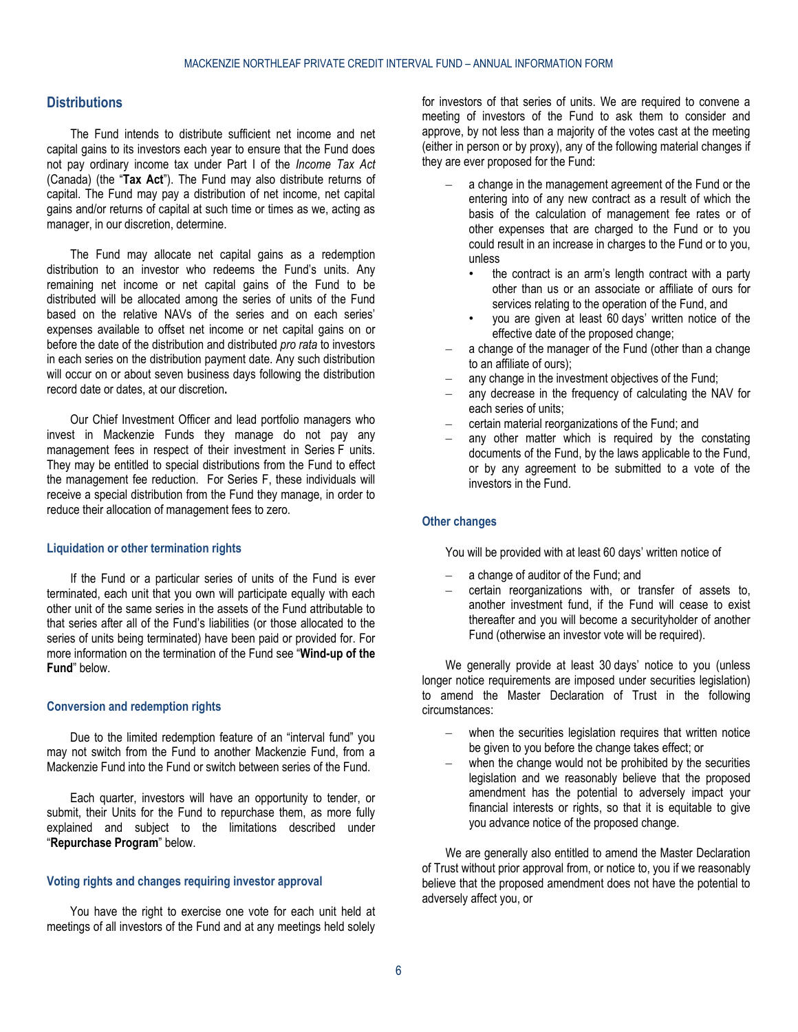# <span id="page-5-0"></span>**Distributions**

The Fund intends to distribute sufficient net income and net capital gains to its investors each year to ensure that the Fund does not pay ordinary income tax under Part I of the *Income Tax Act* (Canada) (the "**Tax Act**"). The Fund may also distribute returns of capital. The Fund may pay a distribution of net income, net capital gains and/or returns of capital at such time or times as we, acting as manager, in our discretion, determine.

The Fund may allocate net capital gains as a redemption distribution to an investor who redeems the Fund's units. Any remaining net income or net capital gains of the Fund to be distributed will be allocated among the series of units of the Fund based on the relative NAVs of the series and on each series' expenses available to offset net income or net capital gains on or before the date of the distribution and distributed *pro rata* to investors in each series on the distribution payment date. Any such distribution will occur on or about seven business days following the distribution record date or dates, at our discretion**.**

Our Chief Investment Officer and lead portfolio managers who invest in Mackenzie Funds they manage do not pay any management fees in respect of their investment in Series F units. They may be entitled to special distributions from the Fund to effect the management fee reduction. For Series F, these individuals will receive a special distribution from the Fund they manage, in order to reduce their allocation of management fees to zero.

#### **Liquidation or other termination rights**

If the Fund or a particular series of units of the Fund is ever terminated, each unit that you own will participate equally with each other unit of the same series in the assets of the Fund attributable to that series after all of the Fund's liabilities (or those allocated to the series of units being terminated) have been paid or provided for. For more information on the termination of the Fund see "**[Wind-up of the](#page-10-0)  [Fund](#page-10-0)**" below.

#### **Conversion and redemption rights**

Due to the limited redemption feature of an "interval fund" you may not switch from the Fund to another Mackenzie Fund, from a Mackenzie Fund into the Fund or switch between series of the Fund.

Each quarter, investors will have an opportunity to tender, or submit, their Units for the Fund to repurchase them, as more fully explained and subject to the limitations described under "**Repurchase Program**" below.

### <span id="page-5-1"></span>**Voting rights and changes requiring investor approval**

You have the right to exercise one vote for each unit held at meetings of all investors of the Fund and at any meetings held solely

for investors of that series of units. We are required to convene a meeting of investors of the Fund to ask them to consider and approve, by not less than a majority of the votes cast at the meeting (either in person or by proxy), any of the following material changes if they are ever proposed for the Fund:

- a change in the management agreement of the Fund or the entering into of any new contract as a result of which the basis of the calculation of management fee rates or of other expenses that are charged to the Fund or to you could result in an increase in charges to the Fund or to you, unless
	- the contract is an arm's length contract with a party other than us or an associate or affiliate of ours for services relating to the operation of the Fund, and
	- you are given at least 60 days' written notice of the effective date of the proposed change;
- a change of the manager of the Fund (other than a change to an affiliate of ours);
- any change in the investment objectives of the Fund;
- any decrease in the frequency of calculating the NAV for each series of units;
- certain material reorganizations of the Fund; and
- any other matter which is required by the constating documents of the Fund, by the laws applicable to the Fund, or by any agreement to be submitted to a vote of the investors in the Fund.

### **Other changes**

You will be provided with at least 60 days' written notice of

- a change of auditor of the Fund; and
- certain reorganizations with, or transfer of assets to, another investment fund, if the Fund will cease to exist thereafter and you will become a securityholder of another Fund (otherwise an investor vote will be required).

We generally provide at least 30 days' notice to you (unless longer notice requirements are imposed under securities legislation) to amend the Master Declaration of Trust in the following circumstances:

- when the securities legislation requires that written notice be given to you before the change takes effect; or
- when the change would not be prohibited by the securities legislation and we reasonably believe that the proposed amendment has the potential to adversely impact your financial interests or rights, so that it is equitable to give you advance notice of the proposed change.

We are generally also entitled to amend the Master Declaration of Trust without prior approval from, or notice to, you if we reasonably believe that the proposed amendment does not have the potential to adversely affect you, or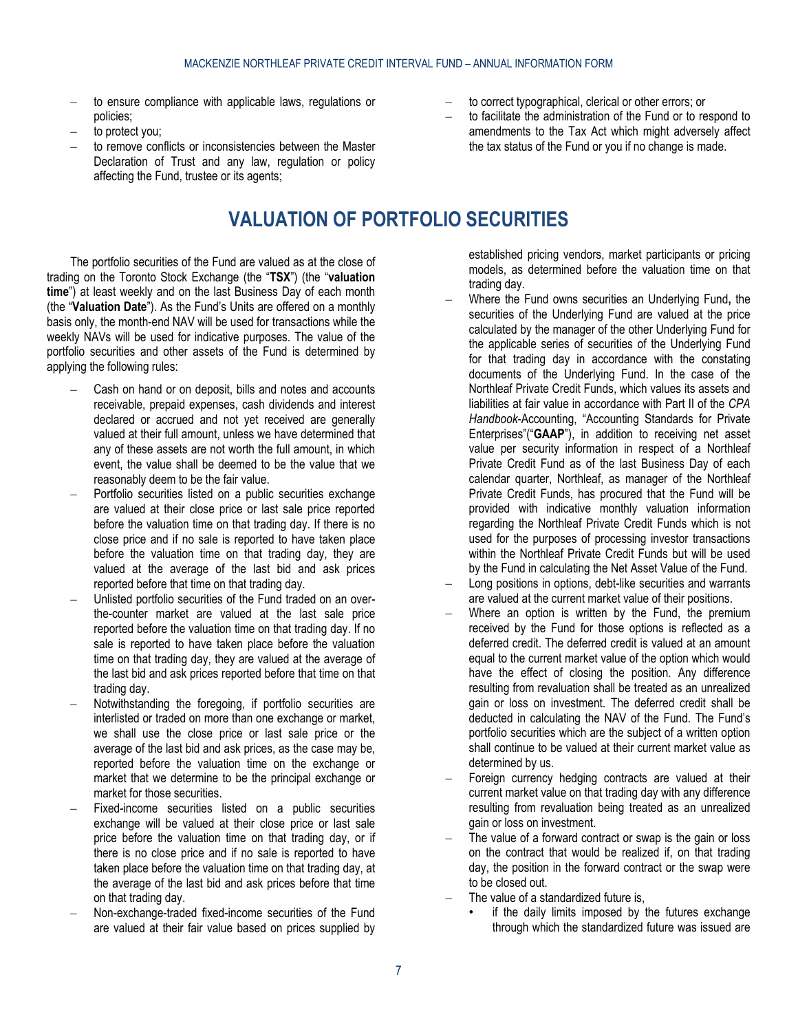- to ensure compliance with applicable laws, regulations or policies;
- to protect you:
- <span id="page-6-0"></span>– to remove conflicts or inconsistencies between the Master Declaration of Trust and any law, regulation or policy affecting the Fund, trustee or its agents;

# **VALUATION OF PORTFOLIO SECURITIES**

The portfolio securities of the Fund are valued as at the close of trading on the Toronto Stock Exchange (the "**TSX**") (the "**valuation time**") at least weekly and on the last Business Day of each month (the "**Valuation Date**"). As the Fund's Units are offered on a monthly basis only, the month-end NAV will be used for transactions while the weekly NAVs will be used for indicative purposes. The value of the portfolio securities and other assets of the Fund is determined by applying the following rules:

- Cash on hand or on deposit, bills and notes and accounts receivable, prepaid expenses, cash dividends and interest declared or accrued and not yet received are generally valued at their full amount, unless we have determined that any of these assets are not worth the full amount, in which event, the value shall be deemed to be the value that we reasonably deem to be the fair value.
- Portfolio securities listed on a public securities exchange are valued at their close price or last sale price reported before the valuation time on that trading day. If there is no close price and if no sale is reported to have taken place before the valuation time on that trading day, they are valued at the average of the last bid and ask prices reported before that time on that trading day.
- Unlisted portfolio securities of the Fund traded on an overthe-counter market are valued at the last sale price reported before the valuation time on that trading day. If no sale is reported to have taken place before the valuation time on that trading day, they are valued at the average of the last bid and ask prices reported before that time on that trading day.
- Notwithstanding the foregoing, if portfolio securities are interlisted or traded on more than one exchange or market, we shall use the close price or last sale price or the average of the last bid and ask prices, as the case may be, reported before the valuation time on the exchange or market that we determine to be the principal exchange or market for those securities.
- Fixed-income securities listed on a public securities exchange will be valued at their close price or last sale price before the valuation time on that trading day, or if there is no close price and if no sale is reported to have taken place before the valuation time on that trading day, at the average of the last bid and ask prices before that time on that trading day.
- Non-exchange-traded fixed-income securities of the Fund are valued at their fair value based on prices supplied by
- to correct typographical, clerical or other errors; or
- to facilitate the administration of the Fund or to respond to amendments to the Tax Act which might adversely affect the tax status of the Fund or you if no change is made.
	- established pricing vendors, market participants or pricing models, as determined before the valuation time on that trading day.
- Where the Fund owns securities an Underlying Fund**,** the securities of the Underlying Fund are valued at the price calculated by the manager of the other Underlying Fund for the applicable series of securities of the Underlying Fund for that trading day in accordance with the constating documents of the Underlying Fund. In the case of the Northleaf Private Credit Funds, which values its assets and liabilities at fair value in accordance with Part II of the *CPA Handbook*-Accounting, "Accounting Standards for Private Enterprises"("**GAAP**"), in addition to receiving net asset value per security information in respect of a Northleaf Private Credit Fund as of the last Business Day of each calendar quarter, Northleaf, as manager of the Northleaf Private Credit Funds, has procured that the Fund will be provided with indicative monthly valuation information regarding the Northleaf Private Credit Funds which is not used for the purposes of processing investor transactions within the Northleaf Private Credit Funds but will be used by the Fund in calculating the Net Asset Value of the Fund.
- Long positions in options, debt-like securities and warrants are valued at the current market value of their positions.
- Where an option is written by the Fund, the premium received by the Fund for those options is reflected as a deferred credit. The deferred credit is valued at an amount equal to the current market value of the option which would have the effect of closing the position. Any difference resulting from revaluation shall be treated as an unrealized gain or loss on investment. The deferred credit shall be deducted in calculating the NAV of the Fund. The Fund's portfolio securities which are the subject of a written option shall continue to be valued at their current market value as determined by us.
- Foreign currency hedging contracts are valued at their current market value on that trading day with any difference resulting from revaluation being treated as an unrealized gain or loss on investment.
- The value of a forward contract or swap is the gain or loss on the contract that would be realized if, on that trading day, the position in the forward contract or the swap were to be closed out.
- The value of a standardized future is,
	- if the daily limits imposed by the futures exchange through which the standardized future was issued are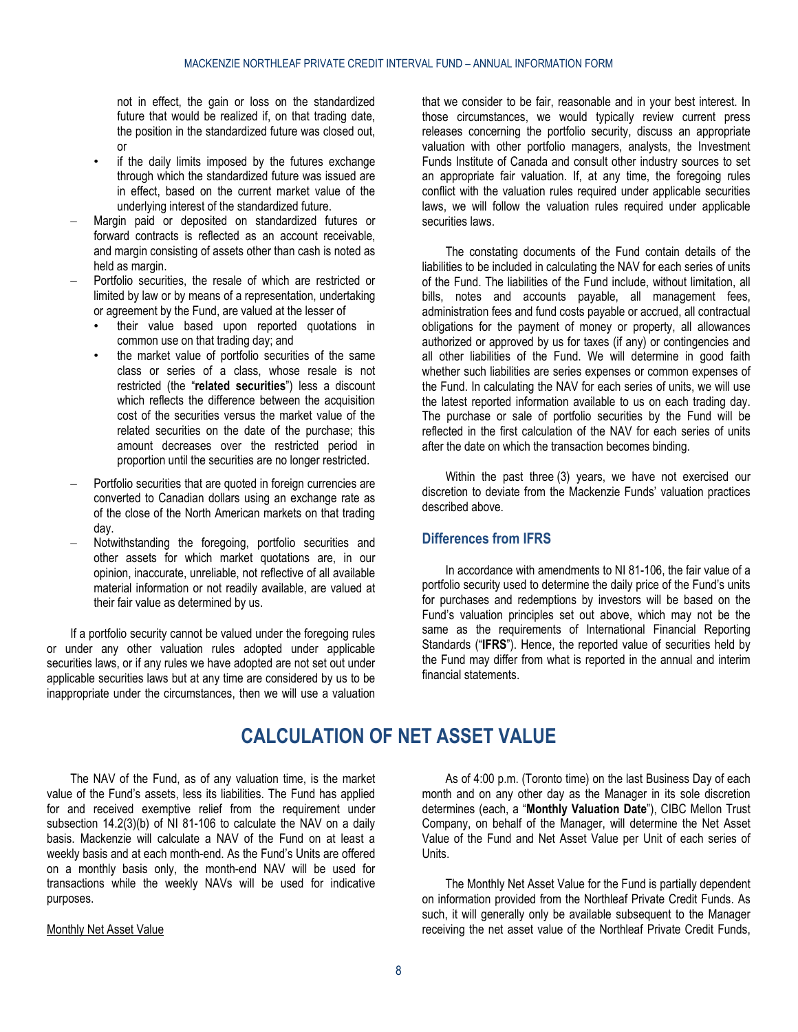not in effect, the gain or loss on the standardized future that would be realized if, on that trading date, the position in the standardized future was closed out, or

- if the daily limits imposed by the futures exchange through which the standardized future was issued are in effect, based on the current market value of the underlying interest of the standardized future.
- Margin paid or deposited on standardized futures or forward contracts is reflected as an account receivable, and margin consisting of assets other than cash is noted as held as margin.
- Portfolio securities, the resale of which are restricted or limited by law or by means of a representation, undertaking or agreement by the Fund, are valued at the lesser of
	- their value based upon reported quotations in common use on that trading day; and
	- the market value of portfolio securities of the same class or series of a class, whose resale is not restricted (the "**related securities**") less a discount which reflects the difference between the acquisition cost of the securities versus the market value of the related securities on the date of the purchase; this amount decreases over the restricted period in proportion until the securities are no longer restricted.
- Portfolio securities that are quoted in foreign currencies are converted to Canadian dollars using an exchange rate as of the close of the North American markets on that trading day.
- Notwithstanding the foregoing, portfolio securities and other assets for which market quotations are, in our opinion, inaccurate, unreliable, not reflective of all available material information or not readily available, are valued at their fair value as determined by us.

If a portfolio security cannot be valued under the foregoing rules or under any other valuation rules adopted under applicable securities laws, or if any rules we have adopted are not set out under applicable securities laws but at any time are considered by us to be inappropriate under the circumstances, then we will use a valuation that we consider to be fair, reasonable and in your best interest. In those circumstances, we would typically review current press releases concerning the portfolio security, discuss an appropriate valuation with other portfolio managers, analysts, the Investment Funds Institute of Canada and consult other industry sources to set an appropriate fair valuation. If, at any time, the foregoing rules conflict with the valuation rules required under applicable securities laws, we will follow the valuation rules required under applicable securities laws.

The constating documents of the Fund contain details of the liabilities to be included in calculating the NAV for each series of units of the Fund. The liabilities of the Fund include, without limitation, all bills, notes and accounts payable, all management fees, administration fees and fund costs payable or accrued, all contractual obligations for the payment of money or property, all allowances authorized or approved by us for taxes (if any) or contingencies and all other liabilities of the Fund. We will determine in good faith whether such liabilities are series expenses or common expenses of the Fund. In calculating the NAV for each series of units, we will use the latest reported information available to us on each trading day. The purchase or sale of portfolio securities by the Fund will be reflected in the first calculation of the NAV for each series of units after the date on which the transaction becomes binding.

Within the past three (3) years, we have not exercised our discretion to deviate from the Mackenzie Funds' valuation practices described above.

# <span id="page-7-0"></span>**Differences from IFRS**

In accordance with amendments to NI 81-106, the fair value of a portfolio security used to determine the daily price of the Fund's units for purchases and redemptions by investors will be based on the Fund's valuation principles set out above, which may not be the same as the requirements of International Financial Reporting Standards ("**IFRS**"). Hence, the reported value of securities held by the Fund may differ from what is reported in the annual and interim financial statements.

# **CALCULATION OF NET ASSET VALUE**

<span id="page-7-1"></span>The NAV of the Fund, as of any valuation time, is the market value of the Fund's assets, less its liabilities. The Fund has applied for and received exemptive relief from the requirement under subsection 14.2(3)(b) of NI 81-106 to calculate the NAV on a daily basis. Mackenzie will calculate a NAV of the Fund on at least a weekly basis and at each month-end. As the Fund's Units are offered on a monthly basis only, the month-end NAV will be used for transactions while the weekly NAVs will be used for indicative purposes.

#### Monthly Net Asset Value

As of 4:00 p.m. (Toronto time) on the last Business Day of each month and on any other day as the Manager in its sole discretion determines (each, a "**Monthly Valuation Date**"), CIBC Mellon Trust Company, on behalf of the Manager, will determine the Net Asset Value of the Fund and Net Asset Value per Unit of each series of Units.

The Monthly Net Asset Value for the Fund is partially dependent on information provided from the Northleaf Private Credit Funds. As such, it will generally only be available subsequent to the Manager receiving the net asset value of the Northleaf Private Credit Funds,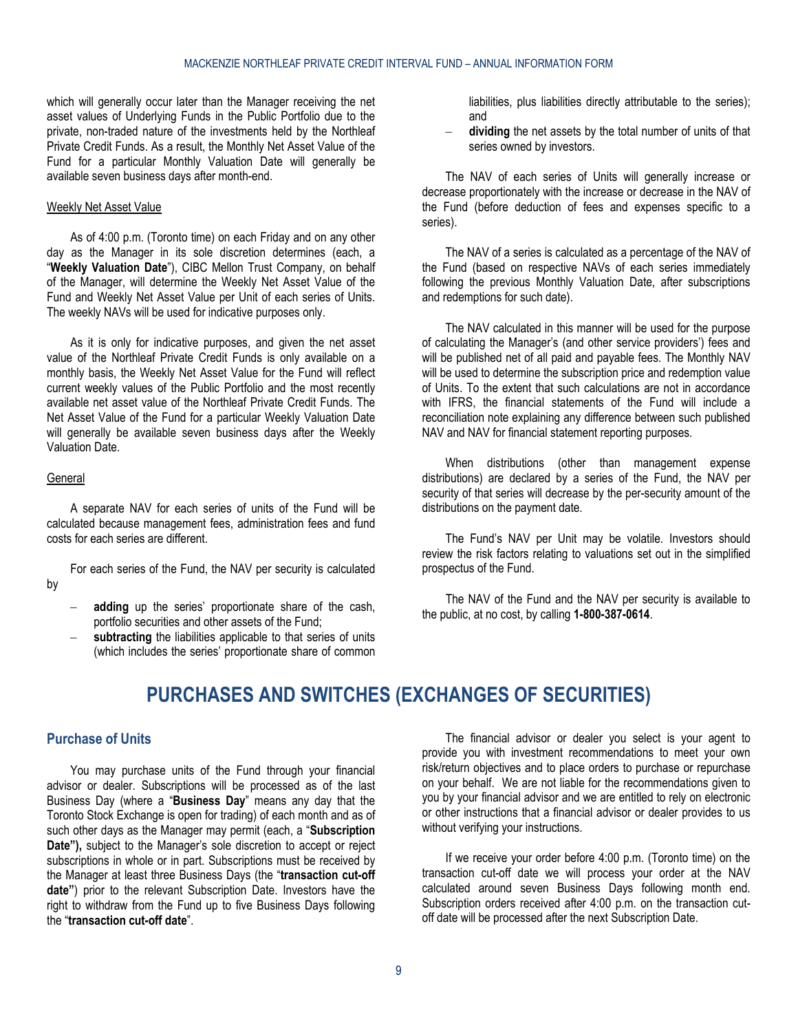which will generally occur later than the Manager receiving the net asset values of Underlying Funds in the Public Portfolio due to the private, non-traded nature of the investments held by the Northleaf Private Credit Funds. As a result, the Monthly Net Asset Value of the Fund for a particular Monthly Valuation Date will generally be available seven business days after month-end.

### Weekly Net Asset Value

As of 4:00 p.m. (Toronto time) on each Friday and on any other day as the Manager in its sole discretion determines (each, a "**Weekly Valuation Date**"), CIBC Mellon Trust Company, on behalf of the Manager, will determine the Weekly Net Asset Value of the Fund and Weekly Net Asset Value per Unit of each series of Units. The weekly NAVs will be used for indicative purposes only.

As it is only for indicative purposes, and given the net asset value of the Northleaf Private Credit Funds is only available on a monthly basis, the Weekly Net Asset Value for the Fund will reflect current weekly values of the Public Portfolio and the most recently available net asset value of the Northleaf Private Credit Funds. The Net Asset Value of the Fund for a particular Weekly Valuation Date will generally be available seven business days after the Weekly Valuation Date.

#### **General**

A separate NAV for each series of units of the Fund will be calculated because management fees, administration fees and fund costs for each series are different.

For each series of the Fund, the NAV per security is calculated by

- **adding** up the series' proportionate share of the cash, portfolio securities and other assets of the Fund;
- <span id="page-8-0"></span>subtracting the liabilities applicable to that series of units (which includes the series' proportionate share of common

liabilities, plus liabilities directly attributable to the series); and

dividing the net assets by the total number of units of that series owned by investors.

The NAV of each series of Units will generally increase or decrease proportionately with the increase or decrease in the NAV of the Fund (before deduction of fees and expenses specific to a series).

The NAV of a series is calculated as a percentage of the NAV of the Fund (based on respective NAVs of each series immediately following the previous Monthly Valuation Date, after subscriptions and redemptions for such date).

The NAV calculated in this manner will be used for the purpose of calculating the Manager's (and other service providers') fees and will be published net of all paid and payable fees. The Monthly NAV will be used to determine the subscription price and redemption value of Units. To the extent that such calculations are not in accordance with IFRS, the financial statements of the Fund will include a reconciliation note explaining any difference between such published NAV and NAV for financial statement reporting purposes.

When distributions (other than management expense distributions) are declared by a series of the Fund, the NAV per security of that series will decrease by the per-security amount of the distributions on the payment date.

The Fund's NAV per Unit may be volatile. Investors should review the risk factors relating to valuations set out in the simplified prospectus of the Fund.

The NAV of the Fund and the NAV per security is available to the public, at no cost, by calling **1-800-387-0614**.

# **PURCHASES AND SWITCHES (EXCHANGES OF SECURITIES)**

## <span id="page-8-1"></span>**Purchase of Units**

You may purchase units of the Fund through your financial advisor or dealer. Subscriptions will be processed as of the last Business Day (where a "**Business Day**" means any day that the Toronto Stock Exchange is open for trading) of each month and as of such other days as the Manager may permit (each, a "**Subscription Date"),** subject to the Manager's sole discretion to accept or reject subscriptions in whole or in part. Subscriptions must be received by the Manager at least three Business Days (the "**transaction cut-off date"**) prior to the relevant Subscription Date. Investors have the right to withdraw from the Fund up to five Business Days following the "**transaction cut-off date**".

The financial advisor or dealer you select is your agent to provide you with investment recommendations to meet your own risk/return objectives and to place orders to purchase or repurchase on your behalf. We are not liable for the recommendations given to you by your financial advisor and we are entitled to rely on electronic or other instructions that a financial advisor or dealer provides to us without verifying your instructions.

If we receive your order before 4:00 p.m. (Toronto time) on the transaction cut-off date we will process your order at the NAV calculated around seven Business Days following month end. Subscription orders received after 4:00 p.m. on the transaction cutoff date will be processed after the next Subscription Date.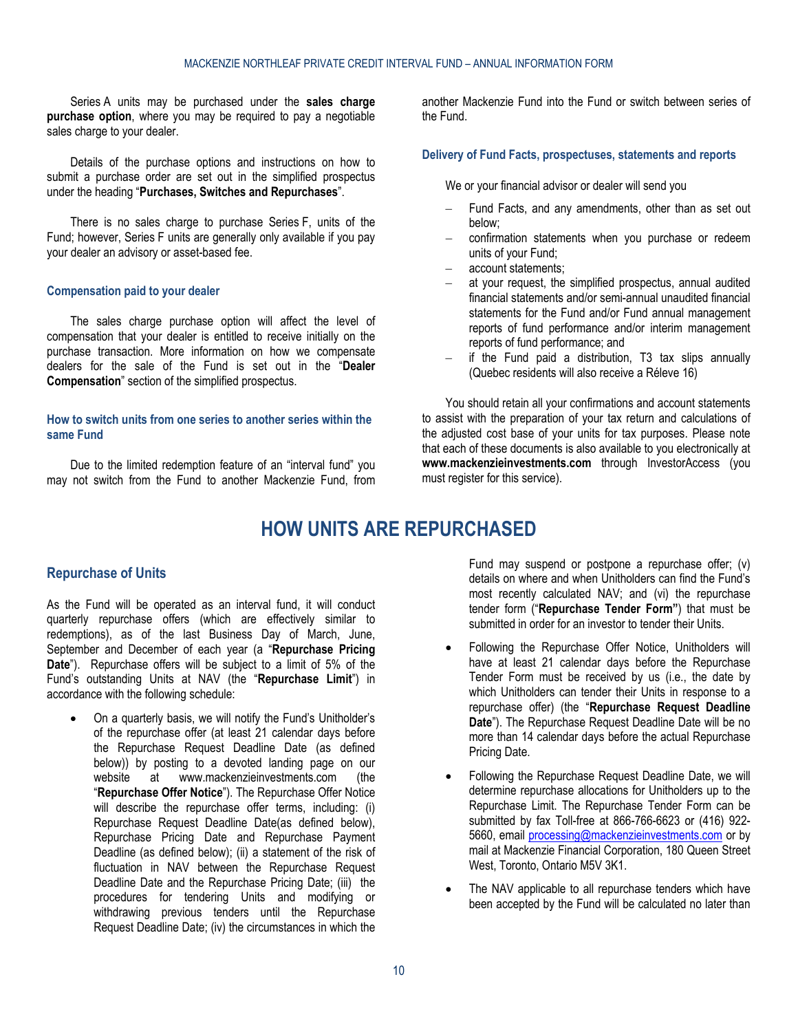Series A units may be purchased under the **sales charge purchase option**, where you may be required to pay a negotiable sales charge to your dealer.

Details of the purchase options and instructions on how to submit a purchase order are set out in the simplified prospectus under the heading "**Purchases, Switches and Repurchases**".

There is no sales charge to purchase Series F, units of the Fund; however, Series F units are generally only available if you pay your dealer an advisory or asset-based fee.

#### **Compensation paid to your dealer**

The sales charge purchase option will affect the level of compensation that your dealer is entitled to receive initially on the purchase transaction. More information on how we compensate dealers for the sale of the Fund is set out in the "**Dealer Compensation**" section of the simplified prospectus.

## **How to switch units from one series to another series within the same Fund**

<span id="page-9-0"></span>Due to the limited redemption feature of an "interval fund" you may not switch from the Fund to another Mackenzie Fund, from

another Mackenzie Fund into the Fund or switch between series of the Fund.

#### **Delivery of Fund Facts, prospectuses, statements and reports**

We or your financial advisor or dealer will send you

- Fund Facts, and any amendments, other than as set out below;
- confirmation statements when you purchase or redeem units of your Fund;
- account statements;
- at your request, the simplified prospectus, annual audited financial statements and/or semi-annual unaudited financial statements for the Fund and/or Fund annual management reports of fund performance and/or interim management reports of fund performance; and
- if the Fund paid a distribution, T3 tax slips annually (Quebec residents will also receive a Réleve 16)

You should retain all your confirmations and account statements to assist with the preparation of your tax return and calculations of the adjusted cost base of your units for tax purposes. Please note that each of these documents is also available to you electronically at **[www.mackenzieinvestments.com](http://www.mackenzieinvestments.com/)** through InvestorAccess (you must register for this service).

# **HOW UNITS ARE REPURCHASED**

### <span id="page-9-1"></span>**Repurchase of Units**

As the Fund will be operated as an interval fund, it will conduct quarterly repurchase offers (which are effectively similar to redemptions), as of the last Business Day of March, June, September and December of each year (a "**Repurchase Pricing Date**"). Repurchase offers will be subject to a limit of 5% of the Fund's outstanding Units at NAV (the "**Repurchase Limit**") in accordance with the following schedule:

• On a quarterly basis, we will notify the Fund's Unitholder's of the repurchase offer (at least 21 calendar days before the Repurchase Request Deadline Date (as defined below)) by posting to a devoted landing page on our website at www.mackenzieinvestments.com (the "**Repurchase Offer Notice**"). The Repurchase Offer Notice will describe the repurchase offer terms, including: (i) Repurchase Request Deadline Date(as defined below), Repurchase Pricing Date and Repurchase Payment Deadline (as defined below); (ii) a statement of the risk of fluctuation in NAV between the Repurchase Request Deadline Date and the Repurchase Pricing Date; (iii) the procedures for tendering Units and modifying or withdrawing previous tenders until the Repurchase Request Deadline Date; (iv) the circumstances in which the

Fund may suspend or postpone a repurchase offer; (v) details on where and when Unitholders can find the Fund's most recently calculated NAV; and (vi) the repurchase tender form ("**Repurchase Tender Form"**) that must be submitted in order for an investor to tender their Units.

- Following the Repurchase Offer Notice, Unitholders will have at least 21 calendar days before the Repurchase Tender Form must be received by us (i.e., the date by which Unitholders can tender their Units in response to a repurchase offer) (the "**Repurchase Request Deadline Date**"). The Repurchase Request Deadline Date will be no more than 14 calendar days before the actual Repurchase Pricing Date.
- Following the Repurchase Request Deadline Date, we will determine repurchase allocations for Unitholders up to the Repurchase Limit. The Repurchase Tender Form can be submitted by fax Toll-free at 866-766-6623 or (416) 922- 5660, email [processing@mackenzieinvestments.com](mailto:processing@mackenzieinvestments.com) or by mail at Mackenzie Financial Corporation, 180 Queen Street West, Toronto, Ontario M5V 3K1.
- The NAV applicable to all repurchase tenders which have been accepted by the Fund will be calculated no later than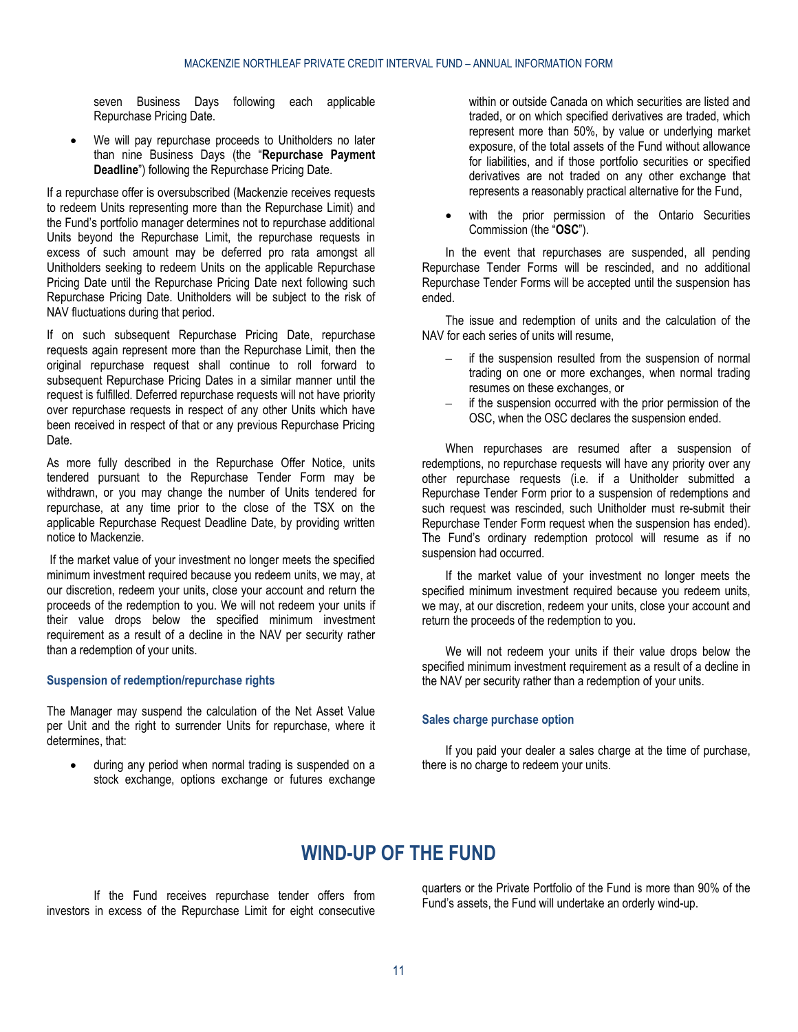seven Business Days following each applicable Repurchase Pricing Date.

We will pay repurchase proceeds to Unitholders no later than nine Business Days (the "**Repurchase Payment Deadline**") following the Repurchase Pricing Date.

If a repurchase offer is oversubscribed (Mackenzie receives requests to redeem Units representing more than the Repurchase Limit) and the Fund's portfolio manager determines not to repurchase additional Units beyond the Repurchase Limit, the repurchase requests in excess of such amount may be deferred pro rata amongst all Unitholders seeking to redeem Units on the applicable Repurchase Pricing Date until the Repurchase Pricing Date next following such Repurchase Pricing Date. Unitholders will be subject to the risk of NAV fluctuations during that period.

If on such subsequent Repurchase Pricing Date, repurchase requests again represent more than the Repurchase Limit, then the original repurchase request shall continue to roll forward to subsequent Repurchase Pricing Dates in a similar manner until the request is fulfilled. Deferred repurchase requests will not have priority over repurchase requests in respect of any other Units which have been received in respect of that or any previous Repurchase Pricing Date.

As more fully described in the Repurchase Offer Notice, units tendered pursuant to the Repurchase Tender Form may be withdrawn, or you may change the number of Units tendered for repurchase, at any time prior to the close of the TSX on the applicable Repurchase Request Deadline Date, by providing written notice to Mackenzie.

If the market value of your investment no longer meets the specified minimum investment required because you redeem units, we may, at our discretion, redeem your units, close your account and return the proceeds of the redemption to you. We will not redeem your units if their value drops below the specified minimum investment requirement as a result of a decline in the NAV per security rather than a redemption of your units.

#### **Suspension of redemption/repurchase rights**

The Manager may suspend the calculation of the Net Asset Value per Unit and the right to surrender Units for repurchase, where it determines, that:

<span id="page-10-0"></span>during any period when normal trading is suspended on a stock exchange, options exchange or futures exchange within or outside Canada on which securities are listed and traded, or on which specified derivatives are traded, which represent more than 50%, by value or underlying market exposure, of the total assets of the Fund without allowance for liabilities, and if those portfolio securities or specified derivatives are not traded on any other exchange that represents a reasonably practical alternative for the Fund,

with the prior permission of the Ontario Securities Commission (the "**OSC**").

In the event that repurchases are suspended, all pending Repurchase Tender Forms will be rescinded, and no additional Repurchase Tender Forms will be accepted until the suspension has ended.

The issue and redemption of units and the calculation of the NAV for each series of units will resume,

- if the suspension resulted from the suspension of normal trading on one or more exchanges, when normal trading resumes on these exchanges, or
- if the suspension occurred with the prior permission of the OSC, when the OSC declares the suspension ended.

When repurchases are resumed after a suspension of redemptions, no repurchase requests will have any priority over any other repurchase requests (i.e. if a Unitholder submitted a Repurchase Tender Form prior to a suspension of redemptions and such request was rescinded, such Unitholder must re-submit their Repurchase Tender Form request when the suspension has ended). The Fund's ordinary redemption protocol will resume as if no suspension had occurred.

If the market value of your investment no longer meets the specified minimum investment required because you redeem units, we may, at our discretion, redeem your units, close your account and return the proceeds of the redemption to you.

We will not redeem your units if their value drops below the specified minimum investment requirement as a result of a decline in the NAV per security rather than a redemption of your units.

#### **Sales charge purchase option**

If you paid your dealer a sales charge at the time of purchase, there is no charge to redeem your units.

# **WIND-UP OF THE FUND**

If the Fund receives repurchase tender offers from investors in excess of the Repurchase Limit for eight consecutive quarters or the Private Portfolio of the Fund is more than 90% of the Fund's assets, the Fund will undertake an orderly wind-up.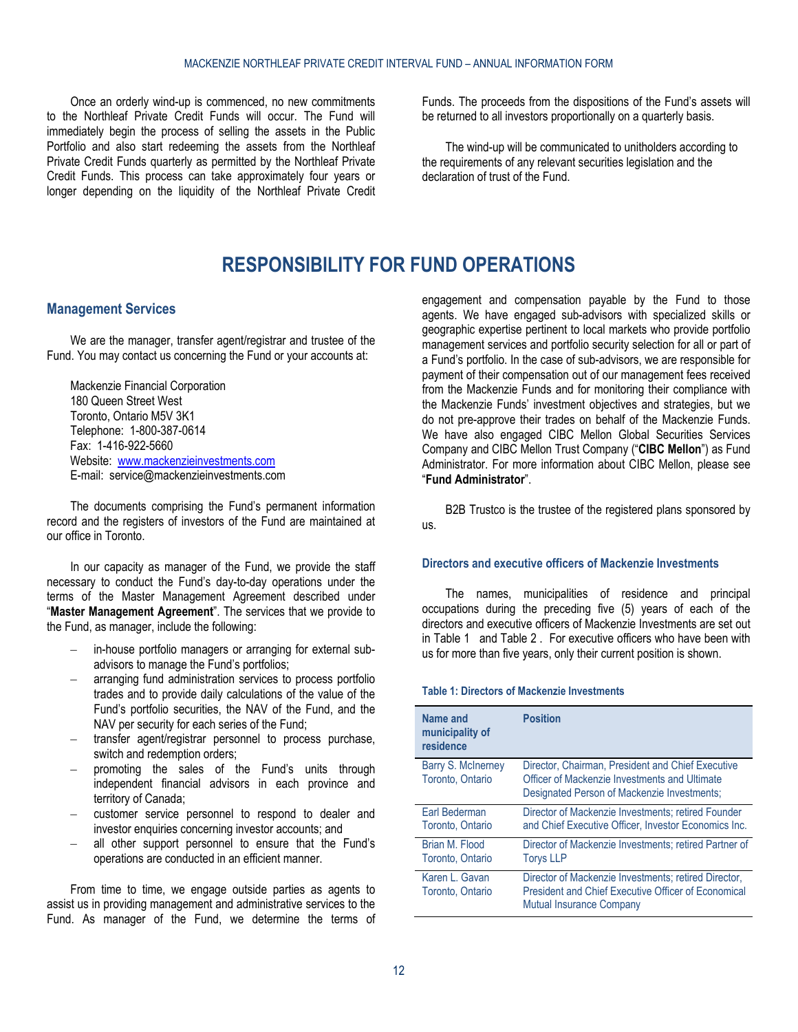Once an orderly wind-up is commenced, no new commitments to the Northleaf Private Credit Funds will occur. The Fund will immediately begin the process of selling the assets in the Public Portfolio and also start redeeming the assets from the Northleaf Private Credit Funds quarterly as permitted by the Northleaf Private Credit Funds. This process can take approximately four years or longer depending on the liquidity of the Northleaf Private Credit

Funds. The proceeds from the dispositions of the Fund's assets will be returned to all investors proportionally on a quarterly basis.

The wind-up will be communicated to unitholders according to the requirements of any relevant securities legislation and the declaration of trust of the Fund.

# **RESPONSIBILITY FOR FUND OPERATIONS**

# <span id="page-11-1"></span><span id="page-11-0"></span>**Management Services**

We are the manager, transfer agent/registrar and trustee of the Fund. You may contact us concerning the Fund or your accounts at:

Mackenzie Financial Corporation 180 Queen Street West Toronto, Ontario M5V 3K1 Telephone: 1-800-387-0614 Fax: 1-416-922-5660 Website: [www.mackenzieinvestments.com](http://www.mackenzieinvestments.com/) E-mail: service@mackenzieinvestments.com

The documents comprising the Fund's permanent information record and the registers of investors of the Fund are maintained at our office in Toronto.

In our capacity as manager of the Fund, we provide the staff necessary to conduct the Fund's day-to-day operations under the terms of the Master Management Agreement described under "**[Master Management Agreement](#page-25-3)**". The services that we provide to the Fund, as manager, include the following:

- in-house portfolio managers or arranging for external subadvisors to manage the Fund's portfolios;
- arranging fund administration services to process portfolio trades and to provide daily calculations of the value of the Fund's portfolio securities, the NAV of the Fund, and the NAV per security for each series of the Fund;
- transfer agent/registrar personnel to process purchase, switch and redemption orders;
- promoting the sales of the Fund's units through independent financial advisors in each province and territory of Canada;
- customer service personnel to respond to dealer and investor enquiries concerning investor accounts; and
- all other support personnel to ensure that the Fund's operations are conducted in an efficient manner.

From time to time, we engage outside parties as agents to assist us in providing management and administrative services to the Fund. As manager of the Fund, we determine the terms of

engagement and compensation payable by the Fund to those agents. We have engaged sub-advisors with specialized skills or geographic expertise pertinent to local markets who provide portfolio management services and portfolio security selection for all or part of a Fund's portfolio. In the case of sub-advisors, we are responsible for payment of their compensation out of our management fees received from the Mackenzie Funds and for monitoring their compliance with the Mackenzie Funds' investment objectives and strategies, but we do not pre-approve their trades on behalf of the Mackenzie Funds. We have also engaged CIBC Mellon Global Securities Services Company and CIBC Mellon Trust Company ("**CIBC Mellon**") as Fund Administrator. For more information about CIBC Mellon, please see "**Fund Administrator**".

B2B Trustco is the trustee of the registered plans sponsored by us.

### <span id="page-11-3"></span>**Directors and executive officers of Mackenzie Investments**

The names, municipalities of residence and principal occupations during the preceding five (5) years of each of the directors and executive officers of Mackenzie Investments are set out in [Table 1](#page-11-2) and [Table 2 .](#page-12-0) For executive officers who have been with us for more than five years, only their current position is shown.

### <span id="page-11-2"></span>**Table 1: Directors of Mackenzie Investments**

| Name and<br>municipality of<br>residence | <b>Position</b>                                                                                                                                   |
|------------------------------------------|---------------------------------------------------------------------------------------------------------------------------------------------------|
| Barry S. McInerney<br>Toronto, Ontario   | Director, Chairman, President and Chief Executive<br>Officer of Mackenzie Investments and Ultimate<br>Designated Person of Mackenzie Investments; |
| Earl Bederman<br>Toronto, Ontario        | Director of Mackenzie Investments; retired Founder<br>and Chief Executive Officer, Investor Economics Inc.                                        |
| Brian M. Flood<br>Toronto, Ontario       | Director of Mackenzie Investments; retired Partner of<br><b>Torys LLP</b>                                                                         |
| Karen L. Gavan<br>Toronto, Ontario       | Director of Mackenzie Investments; retired Director,<br>President and Chief Executive Officer of Economical<br><b>Mutual Insurance Company</b>    |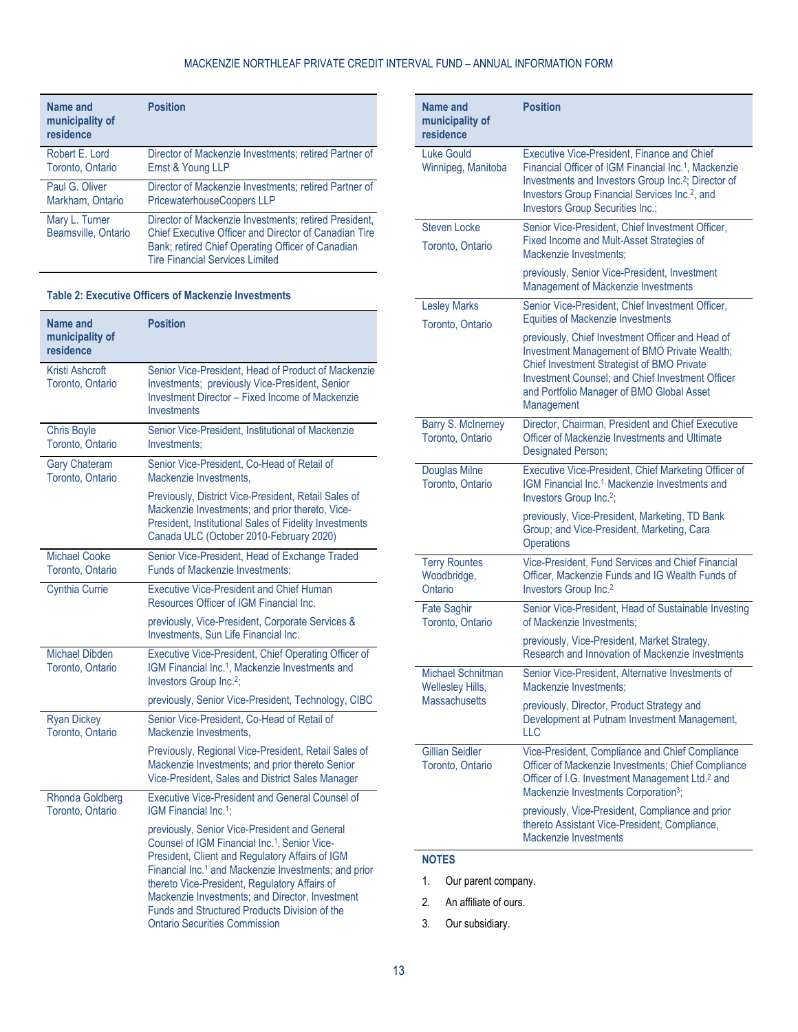## MACKENZIE NORTHLEAF PRIVATE CREDIT INTERVAL FUND – ANNUAL INFORMATION FORM

| Name and<br>municipality of<br>residence | <b>Position</b>                                                                                                                                                                                                      |
|------------------------------------------|----------------------------------------------------------------------------------------------------------------------------------------------------------------------------------------------------------------------|
| Robert E. Lord                           | Director of Mackenzie Investments; retired Partner of                                                                                                                                                                |
| Toronto, Ontario                         | Ernst & Young LLP                                                                                                                                                                                                    |
| Paul G. Oliver                           | Director of Mackenzie Investments; retired Partner of                                                                                                                                                                |
| Markham, Ontario                         | <b>PricewaterhouseCoopers LLP</b>                                                                                                                                                                                    |
| Mary L. Turner<br>Beamsville, Ontario    | Director of Mackenzie Investments; retired President,<br><b>Chief Executive Officer and Director of Canadian Tire</b><br>Bank; retired Chief Operating Officer of Canadian<br><b>Tire Financial Services Limited</b> |

#### <span id="page-12-0"></span>**Table 2: Executive Officers of Mackenzie Investments**

| <b>Name and</b><br>municipality of<br>residence | <b>Position</b>                                                                                                                                                                                                                                                                                                                                                                                                                |
|-------------------------------------------------|--------------------------------------------------------------------------------------------------------------------------------------------------------------------------------------------------------------------------------------------------------------------------------------------------------------------------------------------------------------------------------------------------------------------------------|
| Kristi Ashcroft<br>Toronto, Ontario             | Senior Vice-President, Head of Product of Mackenzie<br>Investments; previously Vice-President, Senior<br><b>Investment Director - Fixed Income of Mackenzie</b><br><b>Investments</b>                                                                                                                                                                                                                                          |
| <b>Chris Boyle</b><br>Toronto, Ontario          | Senior Vice-President, Institutional of Mackenzie<br>Investments:                                                                                                                                                                                                                                                                                                                                                              |
| <b>Gary Chateram</b><br>Toronto, Ontario        | Senior Vice-President, Co-Head of Retail of<br>Mackenzie Investments,                                                                                                                                                                                                                                                                                                                                                          |
|                                                 | Previously, District Vice-President, Retail Sales of<br>Mackenzie Investments; and prior thereto, Vice-<br>President, Institutional Sales of Fidelity Investments<br>Canada ULC (October 2010-February 2020)                                                                                                                                                                                                                   |
| Michael Cooke<br>Toronto, Ontario               | Senior Vice-President, Head of Exchange Traded<br><b>Funds of Mackenzie Investments;</b>                                                                                                                                                                                                                                                                                                                                       |
| <b>Cynthia Currie</b>                           | <b>Executive Vice-President and Chief Human</b><br>Resources Officer of IGM Financial Inc.                                                                                                                                                                                                                                                                                                                                     |
|                                                 | previously, Vice-President, Corporate Services &<br>Investments, Sun Life Financial Inc.                                                                                                                                                                                                                                                                                                                                       |
| <b>Michael Dibden</b><br>Toronto, Ontario       | Executive Vice-President, Chief Operating Officer of<br>IGM Financial Inc. <sup>1</sup> , Mackenzie Investments and<br>Investors Group Inc. <sup>2</sup> ;                                                                                                                                                                                                                                                                     |
|                                                 | previously, Senior Vice-President, Technology, CIBC                                                                                                                                                                                                                                                                                                                                                                            |
| <b>Ryan Dickey</b><br>Toronto, Ontario          | Senior Vice-President, Co-Head of Retail of<br>Mackenzie Investments.                                                                                                                                                                                                                                                                                                                                                          |
|                                                 | Previously, Regional Vice-President, Retail Sales of<br>Mackenzie Investments; and prior thereto Senior<br>Vice-President, Sales and District Sales Manager                                                                                                                                                                                                                                                                    |
| <b>Rhonda Goldberg</b><br>Toronto, Ontario      | <b>Executive Vice-President and General Counsel of</b><br>IGM Financial Inc. <sup>1</sup> :                                                                                                                                                                                                                                                                                                                                    |
|                                                 | previously, Senior Vice-President and General<br>Counsel of IGM Financial Inc. <sup>1</sup> , Senior Vice-<br>President, Client and Regulatory Affairs of IGM<br>Financial Inc. <sup>1</sup> and Mackenzie Investments; and prior<br>thereto Vice-President, Regulatory Affairs of<br>Mackenzie Investments; and Director, Investment<br>Funds and Structured Products Division of the<br><b>Ontario Securities Commission</b> |

| Name and<br>municipality of<br>residence       | <b>Position</b>                                                                                                                                                                                                                                                                             |
|------------------------------------------------|---------------------------------------------------------------------------------------------------------------------------------------------------------------------------------------------------------------------------------------------------------------------------------------------|
| <b>Luke Gould</b><br>Winnipeg, Manitoba        | <b>Executive Vice-President, Finance and Chief</b><br>Financial Officer of IGM Financial Inc. <sup>1</sup> , Mackenzie<br>Investments and Investors Group Inc. <sup>2</sup> ; Director of<br>Investors Group Financial Services Inc. <sup>2</sup> , and<br>Investors Group Securities Inc.; |
| <b>Steven Locke</b><br>Toronto, Ontario        | Senior Vice-President, Chief Investment Officer,<br>Fixed Income and Mult-Asset Strategies of<br>Mackenzie Investments:                                                                                                                                                                     |
|                                                | previously, Senior Vice-President, Investment<br>Management of Mackenzie Investments                                                                                                                                                                                                        |
| <b>Lesley Marks</b><br>Toronto, Ontario        | Senior Vice-President, Chief Investment Officer,<br><b>Equities of Mackenzie Investments</b>                                                                                                                                                                                                |
|                                                | previously, Chief Investment Officer and Head of<br>Investment Management of BMO Private Wealth;<br>Chief Investment Strategist of BMO Private<br>Investment Counsel; and Chief Investment Officer<br>and Portfolio Manager of BMO Global Asset<br>Management                               |
| <b>Barry S. McInerney</b><br>Toronto, Ontario  | Director, Chairman, President and Chief Executive<br>Officer of Mackenzie Investments and Ultimate<br>Designated Person;                                                                                                                                                                    |
| Douglas Milne<br>Toronto, Ontario              | Executive Vice-President, Chief Marketing Officer of<br>IGM Financial Inc. <sup>1,</sup> Mackenzie Investments and<br>Investors Group Inc. <sup>2</sup> ;                                                                                                                                   |
|                                                | previously, Vice-President, Marketing, TD Bank<br>Group; and Vice-President, Marketing, Cara<br>Operations                                                                                                                                                                                  |
| <b>Terry Rountes</b><br>Woodbridge,<br>Ontario | Vice-President, Fund Services and Chief Financial<br>Officer, Mackenzie Funds and IG Wealth Funds of<br>Investors Group Inc. <sup>2</sup>                                                                                                                                                   |
| <b>Fate Saghir</b><br>Toronto, Ontario         | Senior Vice-President, Head of Sustainable Investing<br>of Mackenzie Investments;                                                                                                                                                                                                           |
|                                                | previously, Vice-President, Market Strategy,<br>Research and Innovation of Mackenzie Investments                                                                                                                                                                                            |
| Michael Schnitman<br>Wellesley Hills,          | Senior Vice-President, Alternative Investments of<br>Mackenzie Investments;                                                                                                                                                                                                                 |
| <b>Massachusetts</b>                           | previously, Director, Product Strategy and<br>Development at Putnam Investment Management,<br><b>LLC</b>                                                                                                                                                                                    |
| <b>Gillian Seidler</b><br>Toronto, Ontario     | Vice-President, Compliance and Chief Compliance<br>Officer of Mackenzie Investments; Chief Compliance<br>Officer of I.G. Investment Management Ltd. <sup>2</sup> and<br>Mackenzie Investments Corporation <sup>3</sup> ;                                                                    |
|                                                | previously, Vice-President, Compliance and prior<br>thereto Assistant Vice-President, Compliance,<br>Mackenzie Investments                                                                                                                                                                  |

# **NOTES**

- 1. Our parent company.
- 2. An affiliate of ours.
- 3. Our subsidiary.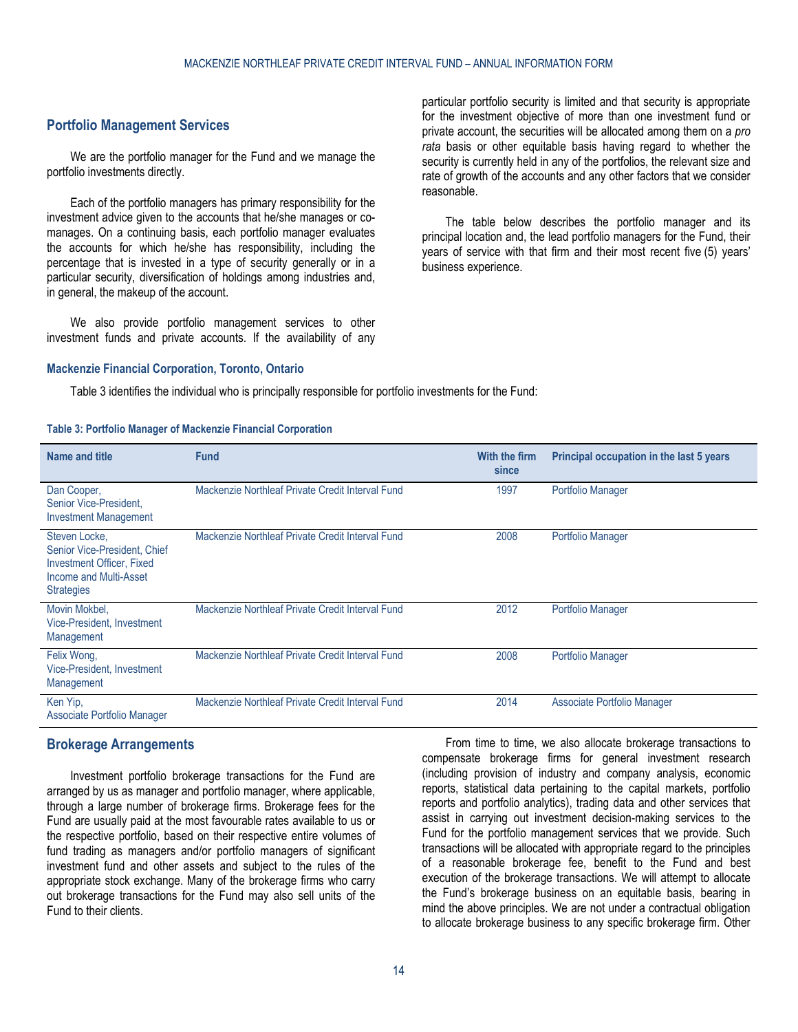## <span id="page-13-0"></span>**Portfolio Management Services**

We are the portfolio manager for the Fund and we manage the portfolio investments directly.

Each of the portfolio managers has primary responsibility for the investment advice given to the accounts that he/she manages or comanages. On a continuing basis, each portfolio manager evaluates the accounts for which he/she has responsibility, including the percentage that is invested in a type of security generally or in a particular security, diversification of holdings among industries and, in general, the makeup of the account.

We also provide portfolio management services to other investment funds and private accounts. If the availability of any

#### **Mackenzie Financial Corporation, Toronto, Ontario**

particular portfolio security is limited and that security is appropriate for the investment objective of more than one investment fund or private account, the securities will be allocated among them on a *pro rata* basis or other equitable basis having regard to whether the security is currently held in any of the portfolios, the relevant size and rate of growth of the accounts and any other factors that we consider reasonable.

The table below describes the portfolio manager and its principal location and, the lead portfolio managers for the Fund, their years of service with that firm and their most recent five (5) years' business experience.

Table 3 identifies the individual who is principally responsible for portfolio investments for the Fund:

#### **Table 3: Portfolio Manager of Mackenzie Financial Corporation**

| Name and title                                                                                                            | <b>Fund</b>                                      | With the firm<br>since | Principal occupation in the last 5 years |
|---------------------------------------------------------------------------------------------------------------------------|--------------------------------------------------|------------------------|------------------------------------------|
| Dan Cooper,<br>Senior Vice-President.<br><b>Investment Management</b>                                                     | Mackenzie Northleaf Private Credit Interval Fund | 1997                   | <b>Portfolio Manager</b>                 |
| Steven Locke,<br>Senior Vice-President, Chief<br>Investment Officer, Fixed<br>Income and Multi-Asset<br><b>Strategies</b> | Mackenzie Northleaf Private Credit Interval Fund | 2008                   | <b>Portfolio Manager</b>                 |
| Movin Mokbel,<br>Vice-President, Investment<br>Management                                                                 | Mackenzie Northleaf Private Credit Interval Fund | 2012                   | <b>Portfolio Manager</b>                 |
| Felix Wong,<br>Vice-President, Investment<br>Management                                                                   | Mackenzie Northleaf Private Credit Interval Fund | 2008                   | <b>Portfolio Manager</b>                 |
| Ken Yip,<br>Associate Portfolio Manager                                                                                   | Mackenzie Northleaf Private Credit Interval Fund | 2014                   | Associate Portfolio Manager              |

## <span id="page-13-1"></span>**Brokerage Arrangements**

Investment portfolio brokerage transactions for the Fund are arranged by us as manager and portfolio manager, where applicable, through a large number of brokerage firms. Brokerage fees for the Fund are usually paid at the most favourable rates available to us or the respective portfolio, based on their respective entire volumes of fund trading as managers and/or portfolio managers of significant investment fund and other assets and subject to the rules of the appropriate stock exchange. Many of the brokerage firms who carry out brokerage transactions for the Fund may also sell units of the Fund to their clients.

From time to time, we also allocate brokerage transactions to compensate brokerage firms for general investment research (including provision of industry and company analysis, economic reports, statistical data pertaining to the capital markets, portfolio reports and portfolio analytics), trading data and other services that assist in carrying out investment decision-making services to the Fund for the portfolio management services that we provide. Such transactions will be allocated with appropriate regard to the principles of a reasonable brokerage fee, benefit to the Fund and best execution of the brokerage transactions. We will attempt to allocate the Fund's brokerage business on an equitable basis, bearing in mind the above principles. We are not under a contractual obligation to allocate brokerage business to any specific brokerage firm. Other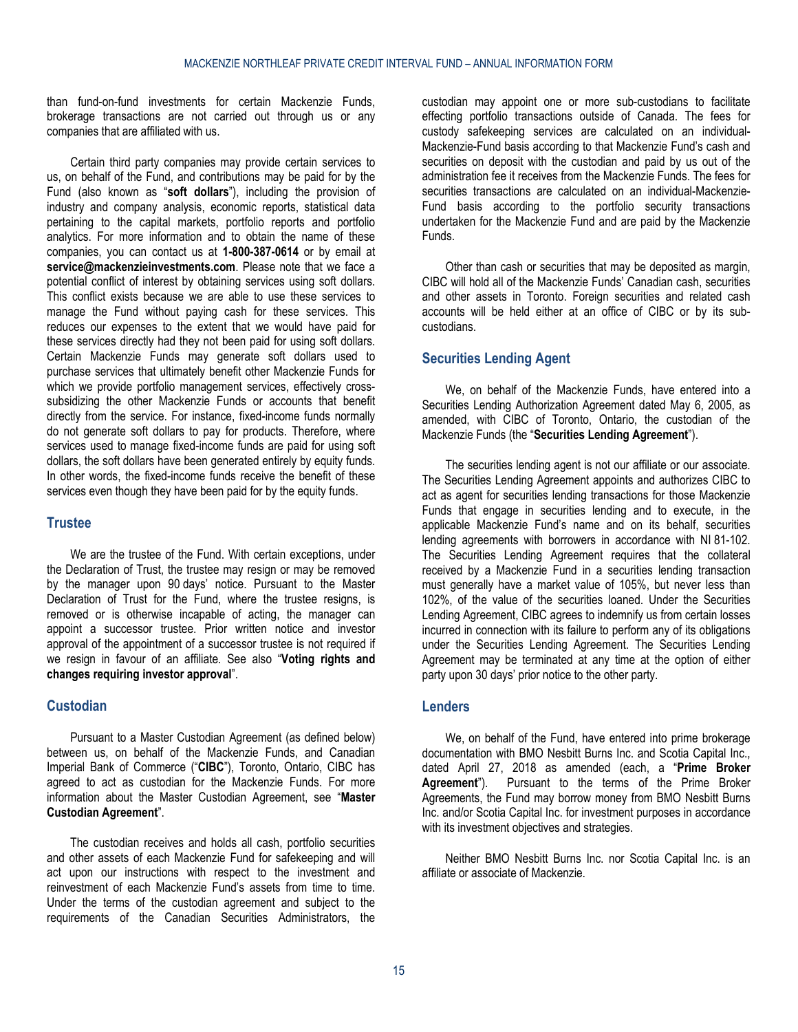than fund-on-fund investments for certain Mackenzie Funds, brokerage transactions are not carried out through us or any companies that are affiliated with us.

Certain third party companies may provide certain services to us, on behalf of the Fund, and contributions may be paid for by the Fund (also known as "**soft dollars**"), including the provision of industry and company analysis, economic reports, statistical data pertaining to the capital markets, portfolio reports and portfolio analytics. For more information and to obtain the name of these companies, you can contact us at **1-800-387-0614** or by email at **[service@mackenzieinvestments.com](mailto:service@mackenzieinvestments.com)**. Please note that we face a potential conflict of interest by obtaining services using soft dollars. This conflict exists because we are able to use these services to manage the Fund without paying cash for these services. This reduces our expenses to the extent that we would have paid for these services directly had they not been paid for using soft dollars. Certain Mackenzie Funds may generate soft dollars used to purchase services that ultimately benefit other Mackenzie Funds for which we provide portfolio management services, effectively crosssubsidizing the other Mackenzie Funds or accounts that benefit directly from the service. For instance, fixed-income funds normally do not generate soft dollars to pay for products. Therefore, where services used to manage fixed-income funds are paid for using soft dollars, the soft dollars have been generated entirely by equity funds. In other words, the fixed-income funds receive the benefit of these services even though they have been paid for by the equity funds.

## <span id="page-14-0"></span>**Trustee**

We are the trustee of the Fund. With certain exceptions, under the Declaration of Trust, the trustee may resign or may be removed by the manager upon 90 days' notice. Pursuant to the Master Declaration of Trust for the Fund, where the trustee resigns, is removed or is otherwise incapable of acting, the manager can appoint a successor trustee. Prior written notice and investor approval of the appointment of a successor trustee is not required if we resign in favour of an affiliate. See also "**[Voting rights and](#page-5-1)  [changes requiring investor approval](#page-5-1)**".

# <span id="page-14-1"></span>**Custodian**

Pursuant to a Master Custodian Agreement (as defined below) between us, on behalf of the Mackenzie Funds, and Canadian Imperial Bank of Commerce ("**CIBC**"), Toronto, Ontario, CIBC has agreed to act as custodian for the Mackenzie Funds. For more information about the Master Custodian Agreement, see "**[Master](#page-26-0)  [Custodian Agreement](#page-26-0)**".

The custodian receives and holds all cash, portfolio securities and other assets of each Mackenzie Fund for safekeeping and will act upon our instructions with respect to the investment and reinvestment of each Mackenzie Fund's assets from time to time. Under the terms of the custodian agreement and subject to the requirements of the Canadian Securities Administrators, the

custodian may appoint one or more sub-custodians to facilitate effecting portfolio transactions outside of Canada. The fees for custody safekeeping services are calculated on an individual-Mackenzie-Fund basis according to that Mackenzie Fund's cash and securities on deposit with the custodian and paid by us out of the administration fee it receives from the Mackenzie Funds. The fees for securities transactions are calculated on an individual-Mackenzie-Fund basis according to the portfolio security transactions undertaken for the Mackenzie Fund and are paid by the Mackenzie Funds.

Other than cash or securities that may be deposited as margin, CIBC will hold all of the Mackenzie Funds' Canadian cash, securities and other assets in Toronto. Foreign securities and related cash accounts will be held either at an office of CIBC or by its subcustodians.

# <span id="page-14-2"></span>**Securities Lending Agent**

We, on behalf of the Mackenzie Funds, have entered into a Securities Lending Authorization Agreement dated May 6, 2005, as amended, with CIBC of Toronto, Ontario, the custodian of the Mackenzie Funds (the "**Securities Lending Agreement**").

The securities lending agent is not our affiliate or our associate. The Securities Lending Agreement appoints and authorizes CIBC to act as agent for securities lending transactions for those Mackenzie Funds that engage in securities lending and to execute, in the applicable Mackenzie Fund's name and on its behalf, securities lending agreements with borrowers in accordance with NI 81-102. The Securities Lending Agreement requires that the collateral received by a Mackenzie Fund in a securities lending transaction must generally have a market value of 105%, but never less than 102%, of the value of the securities loaned. Under the Securities Lending Agreement, CIBC agrees to indemnify us from certain losses incurred in connection with its failure to perform any of its obligations under the Securities Lending Agreement. The Securities Lending Agreement may be terminated at any time at the option of either party upon 30 days' prior notice to the other party.

## <span id="page-14-3"></span>**Lenders**

We, on behalf of the Fund, have entered into prime brokerage documentation with BMO Nesbitt Burns Inc. and Scotia Capital Inc., dated April 27, 2018 as amended (each, a "**Prime Broker Agreement**"). Pursuant to the terms of the Prime Broker Agreements, the Fund may borrow money from BMO Nesbitt Burns Inc. and/or Scotia Capital Inc. for investment purposes in accordance with its investment objectives and strategies.

Neither BMO Nesbitt Burns Inc. nor Scotia Capital Inc. is an affiliate or associate of Mackenzie.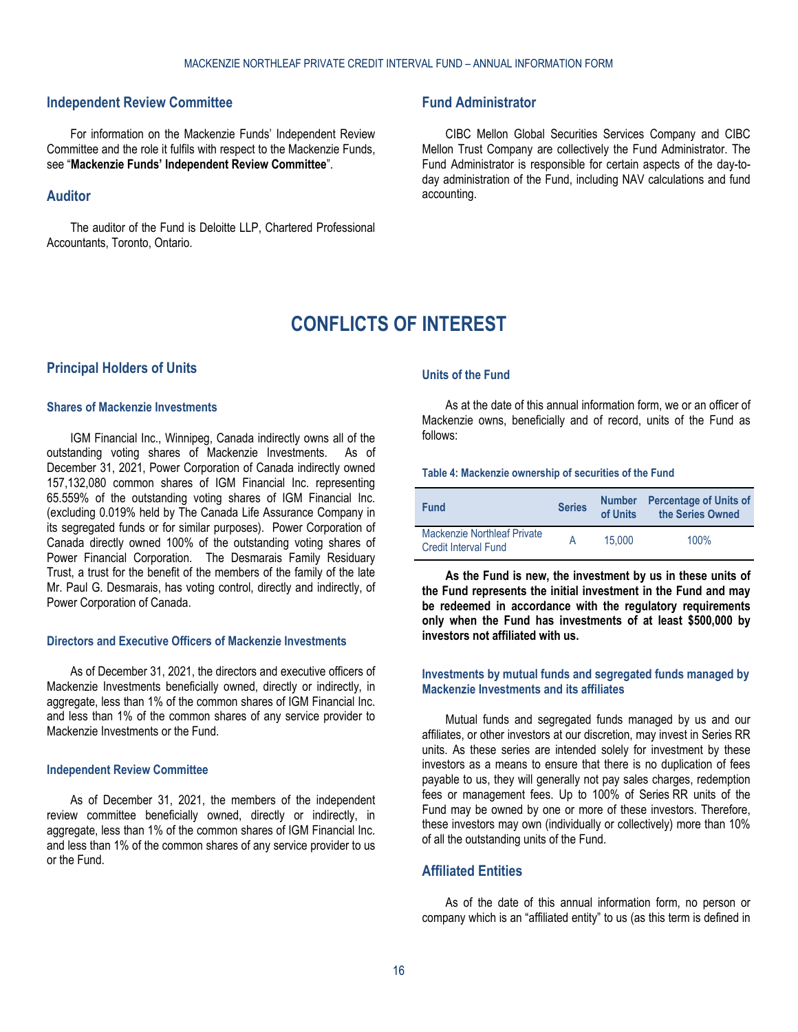## <span id="page-15-0"></span>**Independent Review Committee**

For information on the Mackenzie Funds' Independent Review Committee and the role it fulfils with respect to the Mackenzie Funds, see "**[Mackenzie Funds' Independent Review Committee](#page-18-0)**".

## <span id="page-15-1"></span>**Auditor**

<span id="page-15-3"></span>The auditor of the Fund is Deloitte LLP, Chartered Professional Accountants, Toronto, Ontario.

# <span id="page-15-2"></span>**Fund Administrator**

CIBC Mellon Global Securities Services Company and CIBC Mellon Trust Company are collectively the Fund Administrator. The Fund Administrator is responsible for certain aspects of the day-today administration of the Fund, including NAV calculations and fund accounting.

# **CONFLICTS OF INTEREST**

### <span id="page-15-4"></span>**Principal Holders of Units**

## **Shares of Mackenzie Investments**

IGM Financial Inc., Winnipeg, Canada indirectly owns all of the outstanding voting shares of Mackenzie Investments. As of December 31, 2021, Power Corporation of Canada indirectly owned 157,132,080 common shares of IGM Financial Inc. representing 65.559% of the outstanding voting shares of IGM Financial Inc. (excluding 0.019% held by The Canada Life Assurance Company in its segregated funds or for similar purposes). Power Corporation of Canada directly owned 100% of the outstanding voting shares of Power Financial Corporation. The Desmarais Family Residuary Trust, a trust for the benefit of the members of the family of the late Mr. Paul G. Desmarais, has voting control, directly and indirectly, of Power Corporation of Canada.

### **Directors and Executive Officers of Mackenzie Investments**

As of December 31, 2021, the directors and executive officers of Mackenzie Investments beneficially owned, directly or indirectly, in aggregate, less than 1% of the common shares of IGM Financial Inc. and less than 1% of the common shares of any service provider to Mackenzie Investments or the Fund.

#### **Independent Review Committee**

As of December 31, 2021, the members of the independent review committee beneficially owned, directly or indirectly, in aggregate, less than 1% of the common shares of IGM Financial Inc. and less than 1% of the common shares of any service provider to us or the Fund.

#### **Units of the Fund**

As at the date of this annual information form, we or an officer of Mackenzie owns, beneficially and of record, units of the Fund as follows:

### **Table 4: Mackenzie ownership of securities of the Fund**

| <b>Fund</b>                                                       | <b>Series</b> | <b>Number</b><br>of Units | <b>Percentage of Units of</b><br>the Series Owned |
|-------------------------------------------------------------------|---------------|---------------------------|---------------------------------------------------|
| <b>Mackenzie Northleaf Private</b><br><b>Credit Interval Fund</b> |               | 15.000                    | 100%                                              |

**As the Fund is new, the investment by us in these units of the Fund represents the initial investment in the Fund and may be redeemed in accordance with the regulatory requirements only when the Fund has investments of at least \$500,000 by investors not affiliated with us.** 

### **Investments by mutual funds and segregated funds managed by Mackenzie Investments and its affiliates**

Mutual funds and segregated funds managed by us and our affiliates, or other investors at our discretion, may invest in Series RR units. As these series are intended solely for investment by these investors as a means to ensure that there is no duplication of fees payable to us, they will generally not pay sales charges, redemption fees or management fees. Up to 100% of Series RR units of the Fund may be owned by one or more of these investors. Therefore, these investors may own (individually or collectively) more than 10% of all the outstanding units of the Fund.

## <span id="page-15-5"></span>**Affiliated Entities**

As of the date of this annual information form, no person or company which is an "affiliated entity" to us (as this term is defined in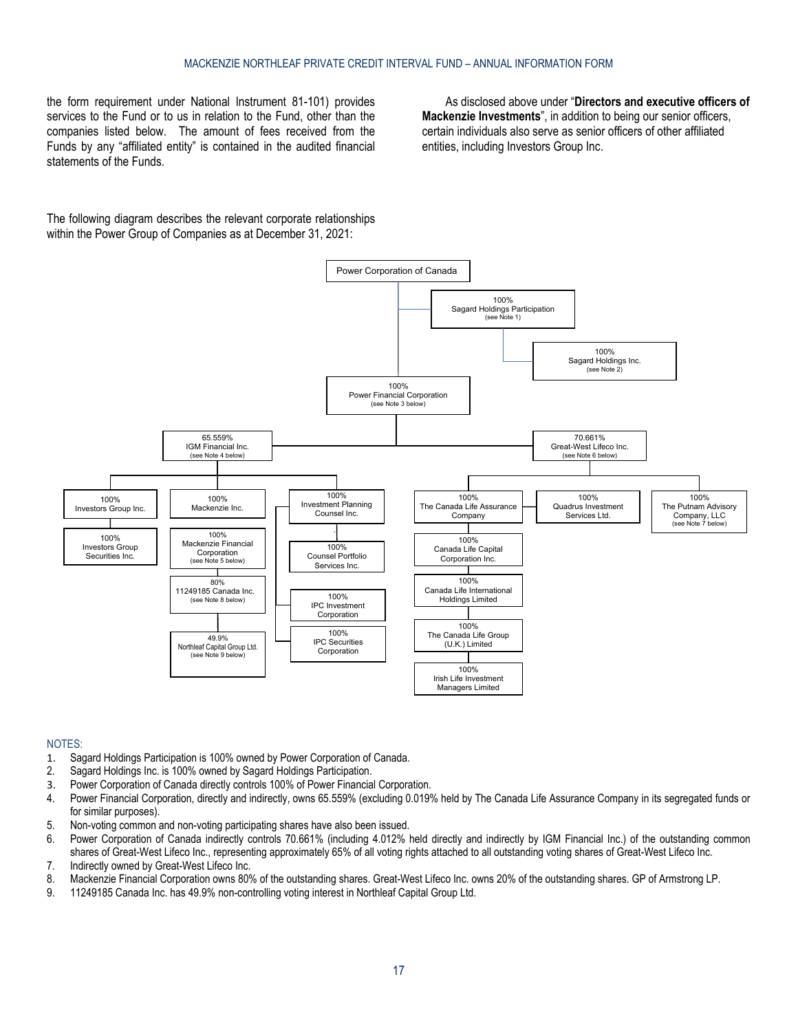the form requirement under National Instrument 81-101) provides services to the Fund or to us in relation to the Fund, other than the companies listed below. The amount of fees received from the Funds by any "affiliated entity" is contained in the audited financial statements of the Funds.

As disclosed above under "**[Directors and executive officers of](#page-11-3)  [Mackenzie Investments](#page-11-3)**", in addition to being our senior officers, certain individuals also serve as senior officers of other affiliated entities, including Investors Group Inc.

The following diagram describes the relevant corporate relationships within the Power Group of Companies as at December 31, 2021:



#### NOTES:

- 1. Sagard Holdings Participation is 100% owned by Power Corporation of Canada.
- 2. Sagard Holdings Inc. is 100% owned by Sagard Holdings Participation.
- 3. Power Corporation of Canada directly controls 100% of Power Financial Corporation.
- 4. Power Financial Corporation, directly and indirectly, owns 65.559% (excluding 0.019% held by The Canada Life Assurance Company in its segregated funds or for similar purposes).
- 5. Non-voting common and non-voting participating shares have also been issued.
- 6. Power Corporation of Canada indirectly controls 70.661% (including 4.012% held directly and indirectly by IGM Financial Inc.) of the outstanding common shares of Great-West Lifeco Inc., representing approximately 65% of all voting rights attached to all outstanding voting shares of Great-West Lifeco Inc. 7. Indirectly owned by Great-West Lifeco Inc.
- 8. Mackenzie Financial Corporation owns 80% of the outstanding shares. Great-West Lifeco Inc. owns 20% of the outstanding shares. GP of Armstrong LP.<br>9. 11249185 Canada Inc. has 49.9% non-controlling voting interest in Nor
- 11249185 Canada Inc. has 49.9% non-controlling voting interest in Northleaf Capital Group Ltd.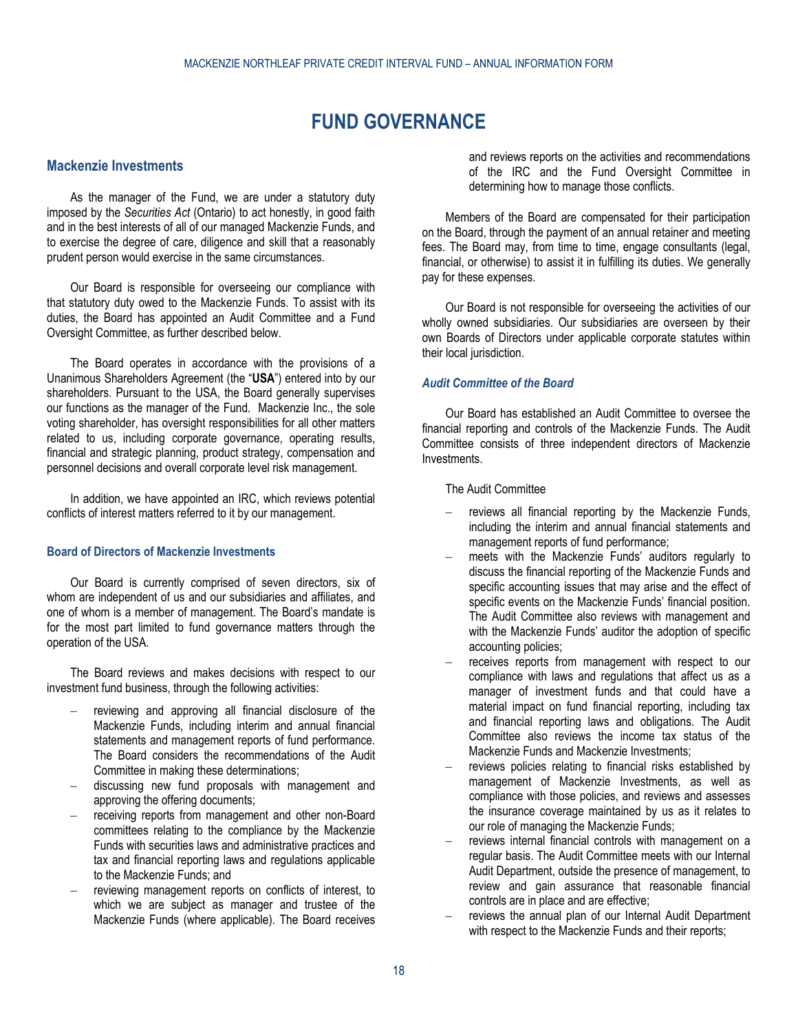# **FUND GOVERNANCE**

## <span id="page-17-1"></span><span id="page-17-0"></span>**Mackenzie Investments**

As the manager of the Fund, we are under a statutory duty imposed by the *Securities Act* (Ontario) to act honestly, in good faith and in the best interests of all of our managed Mackenzie Funds, and to exercise the degree of care, diligence and skill that a reasonably prudent person would exercise in the same circumstances.

Our Board is responsible for overseeing our compliance with that statutory duty owed to the Mackenzie Funds. To assist with its duties, the Board has appointed an Audit Committee and a Fund Oversight Committee, as further described below.

The Board operates in accordance with the provisions of a Unanimous Shareholders Agreement (the "**USA**") entered into by our shareholders. Pursuant to the USA, the Board generally supervises our functions as the manager of the Fund. Mackenzie Inc., the sole voting shareholder, has oversight responsibilities for all other matters related to us, including corporate governance, operating results, financial and strategic planning, product strategy, compensation and personnel decisions and overall corporate level risk management.

In addition, we have appointed an IRC, which reviews potential conflicts of interest matters referred to it by our management.

### **Board of Directors of Mackenzie Investments**

Our Board is currently comprised of seven directors, six of whom are independent of us and our subsidiaries and affiliates, and one of whom is a member of management. The Board's mandate is for the most part limited to fund governance matters through the operation of the USA.

The Board reviews and makes decisions with respect to our investment fund business, through the following activities:

- reviewing and approving all financial disclosure of the Mackenzie Funds, including interim and annual financial statements and management reports of fund performance. The Board considers the recommendations of the Audit Committee in making these determinations;
- discussing new fund proposals with management and approving the offering documents;
- receiving reports from management and other non-Board committees relating to the compliance by the Mackenzie Funds with securities laws and administrative practices and tax and financial reporting laws and regulations applicable to the Mackenzie Funds; and
- reviewing management reports on conflicts of interest, to which we are subject as manager and trustee of the Mackenzie Funds (where applicable). The Board receives

and reviews reports on the activities and recommendations of the IRC and the Fund Oversight Committee in determining how to manage those conflicts.

Members of the Board are compensated for their participation on the Board, through the payment of an annual retainer and meeting fees. The Board may, from time to time, engage consultants (legal, financial, or otherwise) to assist it in fulfilling its duties. We generally pay for these expenses.

Our Board is not responsible for overseeing the activities of our wholly owned subsidiaries. Our subsidiaries are overseen by their own Boards of Directors under applicable corporate statutes within their local jurisdiction.

## *Audit Committee of the Board*

Our Board has established an Audit Committee to oversee the financial reporting and controls of the Mackenzie Funds. The Audit Committee consists of three independent directors of Mackenzie Investments.

The Audit Committee

- reviews all financial reporting by the Mackenzie Funds, including the interim and annual financial statements and management reports of fund performance;
- meets with the Mackenzie Funds' auditors regularly to discuss the financial reporting of the Mackenzie Funds and specific accounting issues that may arise and the effect of specific events on the Mackenzie Funds' financial position. The Audit Committee also reviews with management and with the Mackenzie Funds' auditor the adoption of specific accounting policies;
- receives reports from management with respect to our compliance with laws and regulations that affect us as a manager of investment funds and that could have a material impact on fund financial reporting, including tax and financial reporting laws and obligations. The Audit Committee also reviews the income tax status of the Mackenzie Funds and Mackenzie Investments;
- reviews policies relating to financial risks established by management of Mackenzie Investments, as well as compliance with those policies, and reviews and assesses the insurance coverage maintained by us as it relates to our role of managing the Mackenzie Funds;
- reviews internal financial controls with management on a regular basis. The Audit Committee meets with our Internal Audit Department, outside the presence of management, to review and gain assurance that reasonable financial controls are in place and are effective;
- reviews the annual plan of our Internal Audit Department with respect to the Mackenzie Funds and their reports;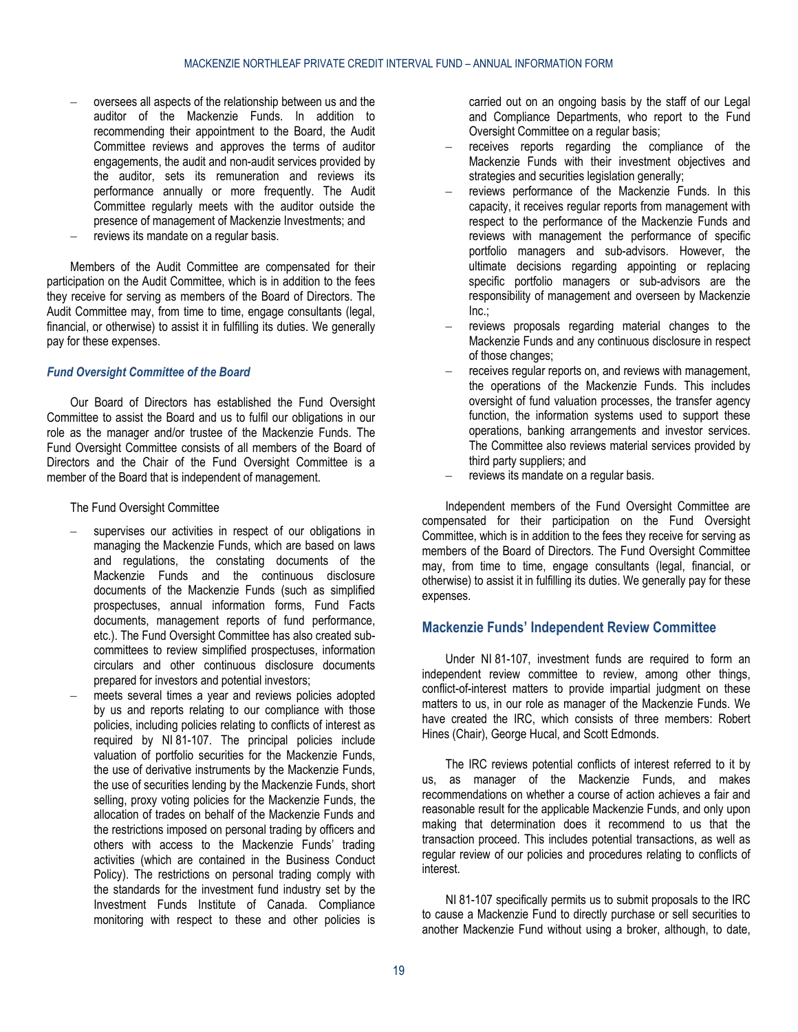- oversees all aspects of the relationship between us and the auditor of the Mackenzie Funds. In addition to recommending their appointment to the Board, the Audit Committee reviews and approves the terms of auditor engagements, the audit and non-audit services provided by the auditor, sets its remuneration and reviews its performance annually or more frequently. The Audit Committee regularly meets with the auditor outside the presence of management of Mackenzie Investments; and
- reviews its mandate on a regular basis.

Members of the Audit Committee are compensated for their participation on the Audit Committee, which is in addition to the fees they receive for serving as members of the Board of Directors. The Audit Committee may, from time to time, engage consultants (legal, financial, or otherwise) to assist it in fulfilling its duties. We generally pay for these expenses.

### *Fund Oversight Committee of the Board*

Our Board of Directors has established the Fund Oversight Committee to assist the Board and us to fulfil our obligations in our role as the manager and/or trustee of the Mackenzie Funds. The Fund Oversight Committee consists of all members of the Board of Directors and the Chair of the Fund Oversight Committee is a member of the Board that is independent of management.

#### The Fund Oversight Committee

- supervises our activities in respect of our obligations in managing the Mackenzie Funds, which are based on laws and regulations, the constating documents of the Mackenzie Funds and the continuous disclosure documents of the Mackenzie Funds (such as simplified prospectuses, annual information forms, Fund Facts documents, management reports of fund performance, etc.). The Fund Oversight Committee has also created subcommittees to review simplified prospectuses, information circulars and other continuous disclosure documents prepared for investors and potential investors;
- meets several times a year and reviews policies adopted by us and reports relating to our compliance with those policies, including policies relating to conflicts of interest as required by NI 81-107. The principal policies include valuation of portfolio securities for the Mackenzie Funds, the use of derivative instruments by the Mackenzie Funds, the use of securities lending by the Mackenzie Funds, short selling, proxy voting policies for the Mackenzie Funds, the allocation of trades on behalf of the Mackenzie Funds and the restrictions imposed on personal trading by officers and others with access to the Mackenzie Funds' trading activities (which are contained in the Business Conduct Policy). The restrictions on personal trading comply with the standards for the investment fund industry set by the Investment Funds Institute of Canada. Compliance monitoring with respect to these and other policies is

carried out on an ongoing basis by the staff of our Legal and Compliance Departments, who report to the Fund Oversight Committee on a regular basis;

- receives reports regarding the compliance of the Mackenzie Funds with their investment objectives and strategies and securities legislation generally;
- reviews performance of the Mackenzie Funds. In this capacity, it receives regular reports from management with respect to the performance of the Mackenzie Funds and reviews with management the performance of specific portfolio managers and sub-advisors. However, the ultimate decisions regarding appointing or replacing specific portfolio managers or sub-advisors are the responsibility of management and overseen by Mackenzie Inc.;
- reviews proposals regarding material changes to the Mackenzie Funds and any continuous disclosure in respect of those changes;
- receives regular reports on, and reviews with management, the operations of the Mackenzie Funds. This includes oversight of fund valuation processes, the transfer agency function, the information systems used to support these operations, banking arrangements and investor services. The Committee also reviews material services provided by third party suppliers; and
- reviews its mandate on a regular basis.

Independent members of the Fund Oversight Committee are compensated for their participation on the Fund Oversight Committee, which is in addition to the fees they receive for serving as members of the Board of Directors. The Fund Oversight Committee may, from time to time, engage consultants (legal, financial, or otherwise) to assist it in fulfilling its duties. We generally pay for these expenses.

## <span id="page-18-0"></span>**Mackenzie Funds' Independent Review Committee**

Under NI 81-107, investment funds are required to form an independent review committee to review, among other things, conflict-of-interest matters to provide impartial judgment on these matters to us, in our role as manager of the Mackenzie Funds. We have created the IRC, which consists of three members: Robert Hines (Chair), George Hucal, and Scott Edmonds.

The IRC reviews potential conflicts of interest referred to it by us, as manager of the Mackenzie Funds, and makes recommendations on whether a course of action achieves a fair and reasonable result for the applicable Mackenzie Funds, and only upon making that determination does it recommend to us that the transaction proceed. This includes potential transactions, as well as regular review of our policies and procedures relating to conflicts of interest.

NI 81-107 specifically permits us to submit proposals to the IRC to cause a Mackenzie Fund to directly purchase or sell securities to another Mackenzie Fund without using a broker, although, to date,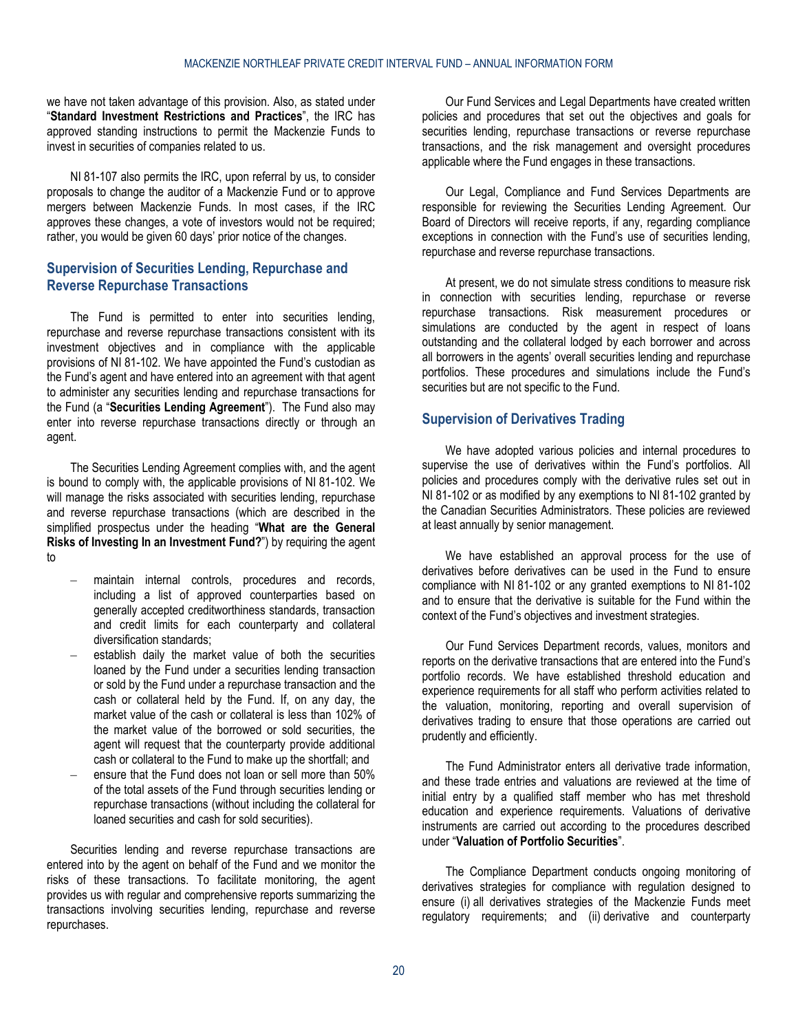we have not taken advantage of this provision. Also, as stated under "**[Standard Investment Restrictions and Practices](#page-4-0)**", the IRC has approved standing instructions to permit the Mackenzie Funds to invest in securities of companies related to us.

NI 81-107 also permits the IRC, upon referral by us, to consider proposals to change the auditor of a Mackenzie Fund or to approve mergers between Mackenzie Funds. In most cases, if the IRC approves these changes, a vote of investors would not be required; rather, you would be given 60 days' prior notice of the changes.

# <span id="page-19-0"></span>**Supervision of Securities Lending, Repurchase and Reverse Repurchase Transactions**

The Fund is permitted to enter into securities lending, repurchase and reverse repurchase transactions consistent with its investment objectives and in compliance with the applicable provisions of NI 81-102. We have appointed the Fund's custodian as the Fund's agent and have entered into an agreement with that agent to administer any securities lending and repurchase transactions for the Fund (a "**Securities Lending Agreement**"). The Fund also may enter into reverse repurchase transactions directly or through an agent.

The Securities Lending Agreement complies with, and the agent is bound to comply with, the applicable provisions of NI 81-102. We will manage the risks associated with securities lending, repurchase and reverse repurchase transactions (which are described in the simplified prospectus under the heading "**What are the General Risks of Investing In an Investment Fund?**") by requiring the agent to

- maintain internal controls, procedures and records, including a list of approved counterparties based on generally accepted creditworthiness standards, transaction and credit limits for each counterparty and collateral diversification standards;
- establish daily the market value of both the securities loaned by the Fund under a securities lending transaction or sold by the Fund under a repurchase transaction and the cash or collateral held by the Fund. If, on any day, the market value of the cash or collateral is less than 102% of the market value of the borrowed or sold securities, the agent will request that the counterparty provide additional cash or collateral to the Fund to make up the shortfall; and
- ensure that the Fund does not loan or sell more than 50% of the total assets of the Fund through securities lending or repurchase transactions (without including the collateral for loaned securities and cash for sold securities).

Securities lending and reverse repurchase transactions are entered into by the agent on behalf of the Fund and we monitor the risks of these transactions. To facilitate monitoring, the agent provides us with regular and comprehensive reports summarizing the transactions involving securities lending, repurchase and reverse repurchases.

Our Fund Services and Legal Departments have created written policies and procedures that set out the objectives and goals for securities lending, repurchase transactions or reverse repurchase transactions, and the risk management and oversight procedures applicable where the Fund engages in these transactions.

Our Legal, Compliance and Fund Services Departments are responsible for reviewing the Securities Lending Agreement. Our Board of Directors will receive reports, if any, regarding compliance exceptions in connection with the Fund's use of securities lending, repurchase and reverse repurchase transactions.

At present, we do not simulate stress conditions to measure risk in connection with securities lending, repurchase or reverse repurchase transactions. Risk measurement procedures or simulations are conducted by the agent in respect of loans outstanding and the collateral lodged by each borrower and across all borrowers in the agents' overall securities lending and repurchase portfolios. These procedures and simulations include the Fund's securities but are not specific to the Fund.

# <span id="page-19-1"></span>**Supervision of Derivatives Trading**

We have adopted various policies and internal procedures to supervise the use of derivatives within the Fund's portfolios. All policies and procedures comply with the derivative rules set out in NI 81-102 or as modified by any exemptions to NI 81-102 granted by the Canadian Securities Administrators. These policies are reviewed at least annually by senior management.

We have established an approval process for the use of derivatives before derivatives can be used in the Fund to ensure compliance with NI 81-102 or any granted exemptions to NI 81-102 and to ensure that the derivative is suitable for the Fund within the context of the Fund's objectives and investment strategies.

Our Fund Services Department records, values, monitors and reports on the derivative transactions that are entered into the Fund's portfolio records. We have established threshold education and experience requirements for all staff who perform activities related to the valuation, monitoring, reporting and overall supervision of derivatives trading to ensure that those operations are carried out prudently and efficiently.

The Fund Administrator enters all derivative trade information, and these trade entries and valuations are reviewed at the time of initial entry by a qualified staff member who has met threshold education and experience requirements. Valuations of derivative instruments are carried out according to the procedures described under "**[Valuation of Portfolio Securities](#page-6-0)**".

The Compliance Department conducts ongoing monitoring of derivatives strategies for compliance with regulation designed to ensure (i) all derivatives strategies of the Mackenzie Funds meet regulatory requirements; and (ii) derivative and counterparty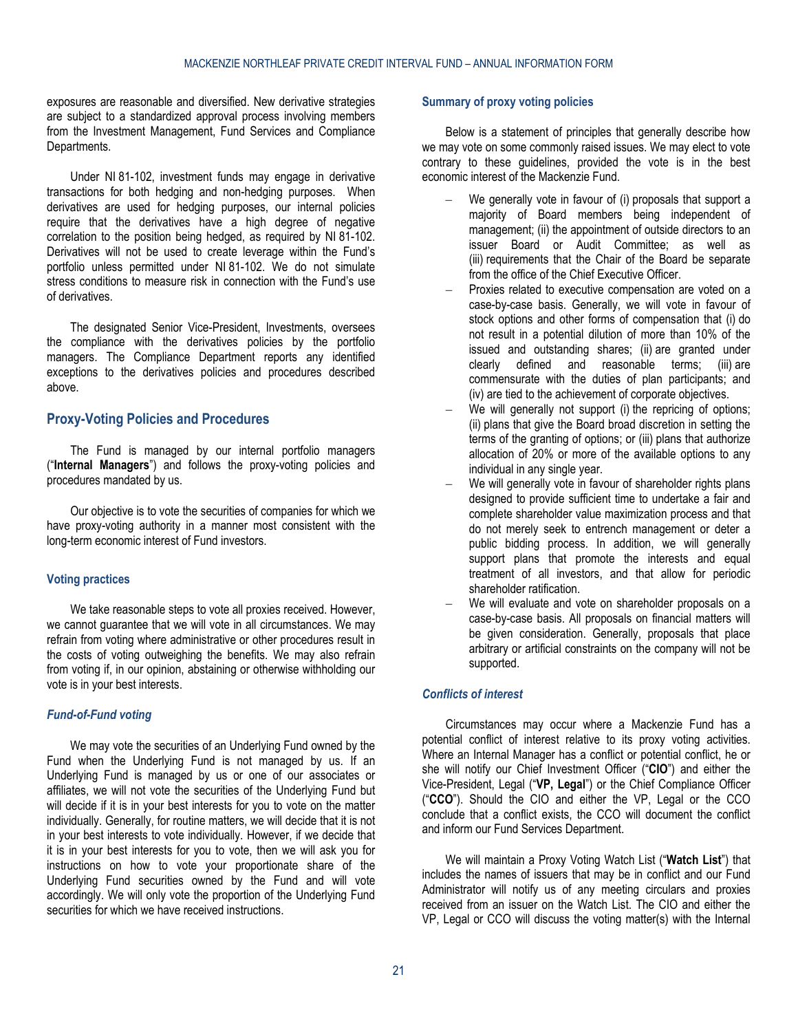exposures are reasonable and diversified. New derivative strategies are subject to a standardized approval process involving members from the Investment Management, Fund Services and Compliance Departments.

Under NI 81-102, investment funds may engage in derivative transactions for both hedging and non-hedging purposes. When derivatives are used for hedging purposes, our internal policies require that the derivatives have a high degree of negative correlation to the position being hedged, as required by NI 81-102. Derivatives will not be used to create leverage within the Fund's portfolio unless permitted under NI 81-102. We do not simulate stress conditions to measure risk in connection with the Fund's use of derivatives.

The designated Senior Vice-President, Investments, oversees the compliance with the derivatives policies by the portfolio managers. The Compliance Department reports any identified exceptions to the derivatives policies and procedures described above.

## <span id="page-20-0"></span>**Proxy-Voting Policies and Procedures**

The Fund is managed by our internal portfolio managers ("**Internal Managers**") and follows the proxy-voting policies and procedures mandated by us.

Our objective is to vote the securities of companies for which we have proxy-voting authority in a manner most consistent with the long-term economic interest of Fund investors.

# **Voting practices**

We take reasonable steps to vote all proxies received. However, we cannot guarantee that we will vote in all circumstances. We may refrain from voting where administrative or other procedures result in the costs of voting outweighing the benefits. We may also refrain from voting if, in our opinion, abstaining or otherwise withholding our vote is in your best interests.

#### *Fund-of-Fund voting*

We may vote the securities of an Underlying Fund owned by the Fund when the Underlying Fund is not managed by us. If an Underlying Fund is managed by us or one of our associates or affiliates, we will not vote the securities of the Underlying Fund but will decide if it is in your best interests for you to vote on the matter individually. Generally, for routine matters, we will decide that it is not in your best interests to vote individually. However, if we decide that it is in your best interests for you to vote, then we will ask you for instructions on how to vote your proportionate share of the Underlying Fund securities owned by the Fund and will vote accordingly. We will only vote the proportion of the Underlying Fund securities for which we have received instructions.

# **Summary of proxy voting policies**

Below is a statement of principles that generally describe how we may vote on some commonly raised issues. We may elect to vote contrary to these guidelines, provided the vote is in the best economic interest of the Mackenzie Fund.

- We generally vote in favour of (i) proposals that support a majority of Board members being independent of management; (ii) the appointment of outside directors to an issuer Board or Audit Committee; as well as (iii) requirements that the Chair of the Board be separate from the office of the Chief Executive Officer.
- Proxies related to executive compensation are voted on a case-by-case basis. Generally, we will vote in favour of stock options and other forms of compensation that (i) do not result in a potential dilution of more than 10% of the issued and outstanding shares; (ii) are granted under clearly defined and reasonable terms: (iii) are defined and reasonable terms; (iii) are commensurate with the duties of plan participants; and (iv) are tied to the achievement of corporate objectives.
- We will generally not support (i) the repricing of options; (ii) plans that give the Board broad discretion in setting the terms of the granting of options; or (iii) plans that authorize allocation of 20% or more of the available options to any individual in any single year.
- We will generally vote in favour of shareholder rights plans designed to provide sufficient time to undertake a fair and complete shareholder value maximization process and that do not merely seek to entrench management or deter a public bidding process. In addition, we will generally support plans that promote the interests and equal treatment of all investors, and that allow for periodic shareholder ratification.
- We will evaluate and vote on shareholder proposals on a case-by-case basis. All proposals on financial matters will be given consideration. Generally, proposals that place arbitrary or artificial constraints on the company will not be supported.

## *Conflicts of interest*

Circumstances may occur where a Mackenzie Fund has a potential conflict of interest relative to its proxy voting activities. Where an Internal Manager has a conflict or potential conflict, he or she will notify our Chief Investment Officer ("**CIO**") and either the Vice-President, Legal ("**VP, Legal**") or the Chief Compliance Officer ("**CCO**"). Should the CIO and either the VP, Legal or the CCO conclude that a conflict exists, the CCO will document the conflict and inform our Fund Services Department.

We will maintain a Proxy Voting Watch List ("**Watch List**") that includes the names of issuers that may be in conflict and our Fund Administrator will notify us of any meeting circulars and proxies received from an issuer on the Watch List. The CIO and either the VP, Legal or CCO will discuss the voting matter(s) with the Internal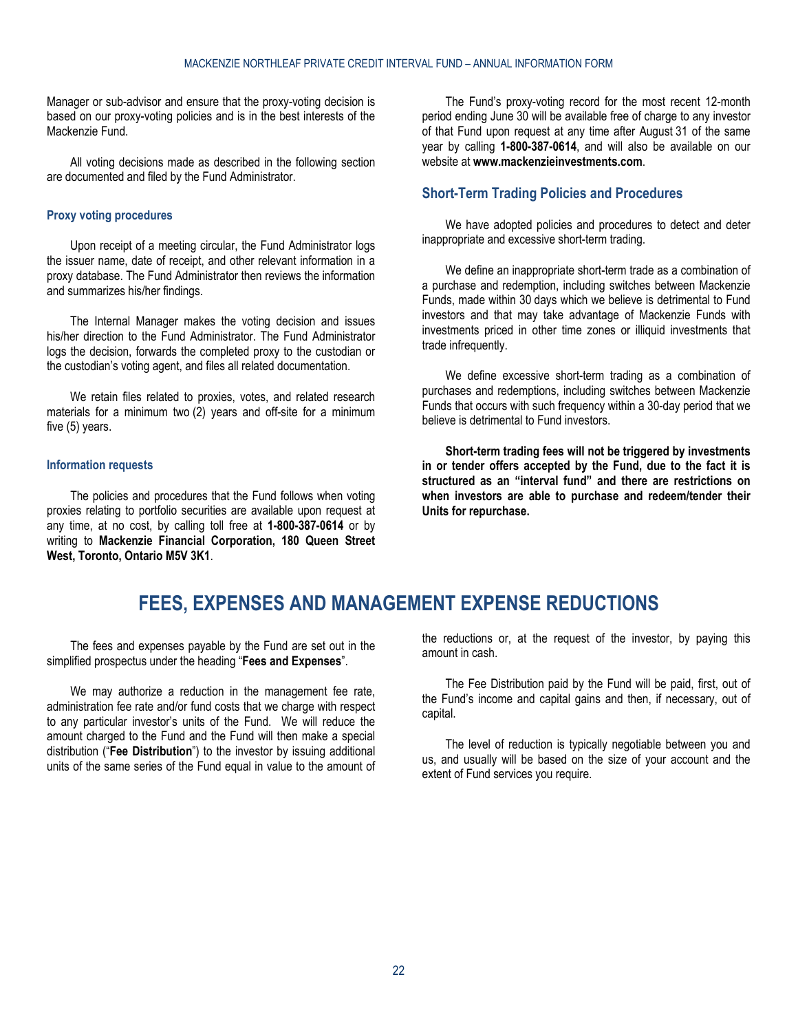Manager or sub-advisor and ensure that the proxy-voting decision is based on our proxy-voting policies and is in the best interests of the Mackenzie Fund.

All voting decisions made as described in the following section are documented and filed by the Fund Administrator.

### **Proxy voting procedures**

Upon receipt of a meeting circular, the Fund Administrator logs the issuer name, date of receipt, and other relevant information in a proxy database. The Fund Administrator then reviews the information and summarizes his/her findings.

The Internal Manager makes the voting decision and issues his/her direction to the Fund Administrator. The Fund Administrator logs the decision, forwards the completed proxy to the custodian or the custodian's voting agent, and files all related documentation.

We retain files related to proxies, votes, and related research materials for a minimum two (2) years and off-site for a minimum five (5) years.

#### **Information requests**

The policies and procedures that the Fund follows when voting proxies relating to portfolio securities are available upon request at any time, at no cost, by calling toll free at **1-800-387-0614** or by writing to **Mackenzie Financial Corporation, 180 Queen Street West, Toronto, Ontario M5V 3K1**.

The Fund's proxy-voting record for the most recent 12-month period ending June 30 will be available free of charge to any investor of that Fund upon request at any time after August 31 of the same year by calling **1-800-387-0614**, and will also be available on our website at **[www.mackenzieinvestments.com](http://www.mackenzieinvestments.com/)**.

## <span id="page-21-0"></span>**Short-Term Trading Policies and Procedures**

We have adopted policies and procedures to detect and deter inappropriate and excessive short-term trading.

We define an inappropriate short-term trade as a combination of a purchase and redemption, including switches between Mackenzie Funds, made within 30 days which we believe is detrimental to Fund investors and that may take advantage of Mackenzie Funds with investments priced in other time zones or illiquid investments that trade infrequently.

We define excessive short-term trading as a combination of purchases and redemptions, including switches between Mackenzie Funds that occurs with such frequency within a 30-day period that we believe is detrimental to Fund investors.

**Short-term trading fees will not be triggered by investments in or tender offers accepted by the Fund, due to the fact it is structured as an "interval fund" and there are restrictions on when investors are able to purchase and redeem/tender their Units for repurchase.**

# **FEES, EXPENSES AND MANAGEMENT EXPENSE REDUCTIONS**

<span id="page-21-1"></span>The fees and expenses payable by the Fund are set out in the simplified prospectus under the heading "**Fees and Expenses**".

We may authorize a reduction in the management fee rate, administration fee rate and/or fund costs that we charge with respect to any particular investor's units of the Fund. We will reduce the amount charged to the Fund and the Fund will then make a special distribution ("**Fee Distribution**") to the investor by issuing additional units of the same series of the Fund equal in value to the amount of

the reductions or, at the request of the investor, by paying this amount in cash.

The Fee Distribution paid by the Fund will be paid, first, out of the Fund's income and capital gains and then, if necessary, out of capital.

The level of reduction is typically negotiable between you and us, and usually will be based on the size of your account and the extent of Fund services you require.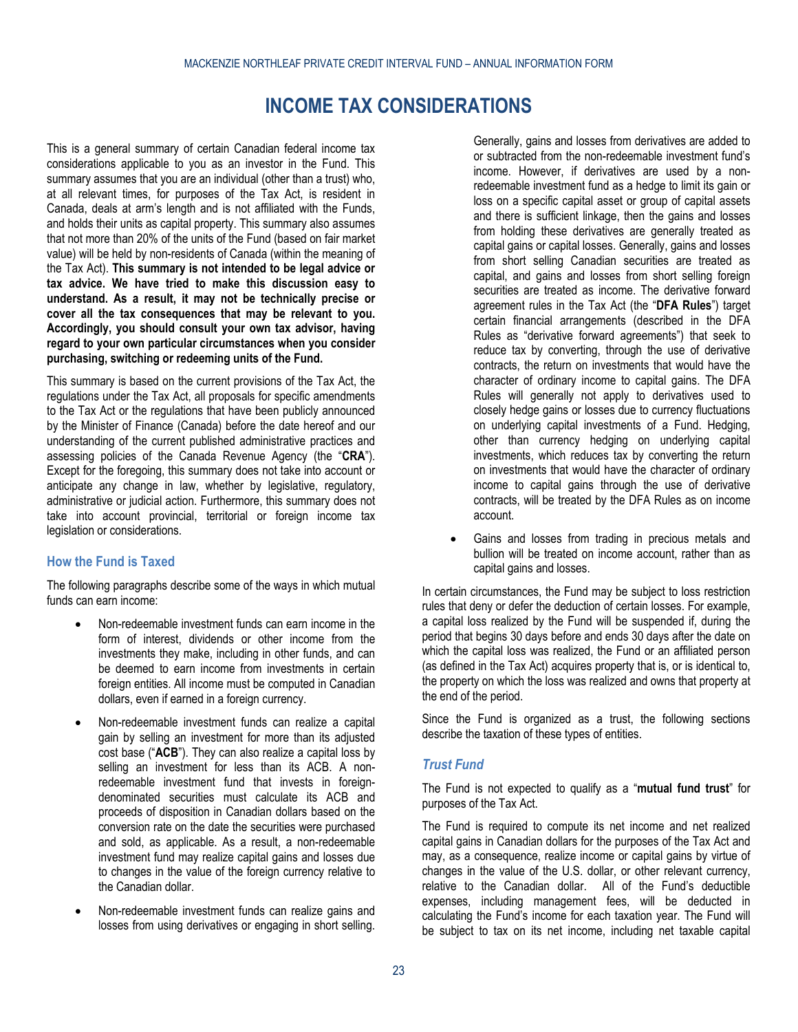# **INCOME TAX CONSIDERATIONS**

<span id="page-22-0"></span>This is a general summary of certain Canadian federal income tax considerations applicable to you as an investor in the Fund. This summary assumes that you are an individual (other than a trust) who, at all relevant times, for purposes of the Tax Act, is resident in Canada, deals at arm's length and is not affiliated with the Funds, and holds their units as capital property. This summary also assumes that not more than 20% of the units of the Fund (based on fair market value) will be held by non-residents of Canada (within the meaning of the Tax Act). **This summary is not intended to be legal advice or tax advice. We have tried to make this discussion easy to understand. As a result, it may not be technically precise or cover all the tax consequences that may be relevant to you. Accordingly, you should consult your own tax advisor, having regard to your own particular circumstances when you consider purchasing, switching or redeeming units of the Fund.**

This summary is based on the current provisions of the Tax Act, the regulations under the Tax Act, all proposals for specific amendments to the Tax Act or the regulations that have been publicly announced by the Minister of Finance (Canada) before the date hereof and our understanding of the current published administrative practices and assessing policies of the Canada Revenue Agency (the "**CRA**"). Except for the foregoing, this summary does not take into account or anticipate any change in law, whether by legislative, regulatory, administrative or judicial action. Furthermore, this summary does not take into account provincial, territorial or foreign income tax legislation or considerations.

# **How the Fund is Taxed**

The following paragraphs describe some of the ways in which mutual funds can earn income:

- Non-redeemable investment funds can earn income in the form of interest, dividends or other income from the investments they make, including in other funds, and can be deemed to earn income from investments in certain foreign entities. All income must be computed in Canadian dollars, even if earned in a foreign currency.
- Non-redeemable investment funds can realize a capital gain by selling an investment for more than its adjusted cost base ("**ACB**"). They can also realize a capital loss by selling an investment for less than its ACB. A nonredeemable investment fund that invests in foreigndenominated securities must calculate its ACB and proceeds of disposition in Canadian dollars based on the conversion rate on the date the securities were purchased and sold, as applicable. As a result, a non-redeemable investment fund may realize capital gains and losses due to changes in the value of the foreign currency relative to the Canadian dollar.
- Non-redeemable investment funds can realize gains and losses from using derivatives or engaging in short selling.

Generally, gains and losses from derivatives are added to or subtracted from the non-redeemable investment fund's income. However, if derivatives are used by a nonredeemable investment fund as a hedge to limit its gain or loss on a specific capital asset or group of capital assets and there is sufficient linkage, then the gains and losses from holding these derivatives are generally treated as capital gains or capital losses. Generally, gains and losses from short selling Canadian securities are treated as capital, and gains and losses from short selling foreign securities are treated as income. The derivative forward agreement rules in the Tax Act (the "**DFA Rules**") target certain financial arrangements (described in the DFA Rules as "derivative forward agreements") that seek to reduce tax by converting, through the use of derivative contracts, the return on investments that would have the character of ordinary income to capital gains. The DFA Rules will generally not apply to derivatives used to closely hedge gains or losses due to currency fluctuations on underlying capital investments of a Fund. Hedging, other than currency hedging on underlying capital investments, which reduces tax by converting the return on investments that would have the character of ordinary income to capital gains through the use of derivative contracts, will be treated by the DFA Rules as on income account.

Gains and losses from trading in precious metals and bullion will be treated on income account, rather than as capital gains and losses.

In certain circumstances, the Fund may be subject to loss restriction rules that deny or defer the deduction of certain losses. For example, a capital loss realized by the Fund will be suspended if, during the period that begins 30 days before and ends 30 days after the date on which the capital loss was realized, the Fund or an affiliated person (as defined in the Tax Act) acquires property that is, or is identical to, the property on which the loss was realized and owns that property at the end of the period.

Since the Fund is organized as a trust, the following sections describe the taxation of these types of entities.

## *Trust Fund*

The Fund is not expected to qualify as a "**mutual fund trust**" for purposes of the Tax Act.

The Fund is required to compute its net income and net realized capital gains in Canadian dollars for the purposes of the Tax Act and may, as a consequence, realize income or capital gains by virtue of changes in the value of the U.S. dollar, or other relevant currency, relative to the Canadian dollar. All of the Fund's deductible expenses, including management fees, will be deducted in calculating the Fund's income for each taxation year. The Fund will be subject to tax on its net income, including net taxable capital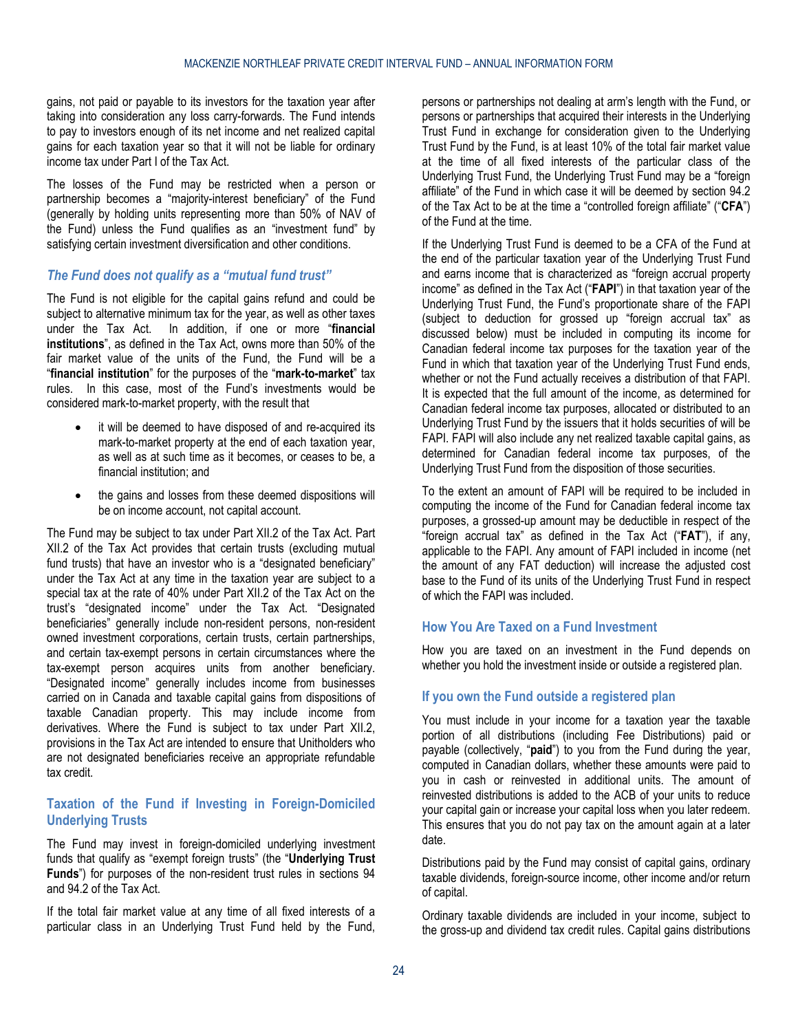gains, not paid or payable to its investors for the taxation year after taking into consideration any loss carry-forwards. The Fund intends to pay to investors enough of its net income and net realized capital gains for each taxation year so that it will not be liable for ordinary income tax under Part I of the Tax Act.

The losses of the Fund may be restricted when a person or partnership becomes a "majority-interest beneficiary" of the Fund (generally by holding units representing more than 50% of NAV of the Fund) unless the Fund qualifies as an "investment fund" by satisfying certain investment diversification and other conditions.

# *The Fund does not qualify as a "mutual fund trust"*

The Fund is not eligible for the capital gains refund and could be subject to alternative minimum tax for the year, as well as other taxes under the Tax Act. In addition, if one or more "**financial institutions**", as defined in the Tax Act, owns more than 50% of the fair market value of the units of the Fund, the Fund will be a "**financial institution**" for the purposes of the "**mark-to-market**" tax rules. In this case, most of the Fund's investments would be considered mark-to-market property, with the result that

- it will be deemed to have disposed of and re-acquired its mark-to-market property at the end of each taxation year, as well as at such time as it becomes, or ceases to be, a financial institution; and
- the gains and losses from these deemed dispositions will be on income account, not capital account.

The Fund may be subject to tax under Part XII.2 of the Tax Act. Part XII.2 of the Tax Act provides that certain trusts (excluding mutual fund trusts) that have an investor who is a "designated beneficiary" under the Tax Act at any time in the taxation year are subject to a special tax at the rate of 40% under Part XII.2 of the Tax Act on the trust's "designated income" under the Tax Act. "Designated beneficiaries" generally include non-resident persons, non-resident owned investment corporations, certain trusts, certain partnerships, and certain tax-exempt persons in certain circumstances where the tax-exempt person acquires units from another beneficiary. "Designated income" generally includes income from businesses carried on in Canada and taxable capital gains from dispositions of taxable Canadian property. This may include income from derivatives. Where the Fund is subject to tax under Part XII.2, provisions in the Tax Act are intended to ensure that Unitholders who are not designated beneficiaries receive an appropriate refundable tax credit.

# **Taxation of the Fund if Investing in Foreign-Domiciled Underlying Trusts**

The Fund may invest in foreign-domiciled underlying investment funds that qualify as "exempt foreign trusts" (the "**Underlying Trust Funds**") for purposes of the non-resident trust rules in sections 94 and 94.2 of the Tax Act.

If the total fair market value at any time of all fixed interests of a particular class in an Underlying Trust Fund held by the Fund,

persons or partnerships not dealing at arm's length with the Fund, or persons or partnerships that acquired their interests in the Underlying Trust Fund in exchange for consideration given to the Underlying Trust Fund by the Fund, is at least 10% of the total fair market value at the time of all fixed interests of the particular class of the Underlying Trust Fund, the Underlying Trust Fund may be a "foreign affiliate" of the Fund in which case it will be deemed by section 94.2 of the Tax Act to be at the time a "controlled foreign affiliate" ("**CFA**") of the Fund at the time.

If the Underlying Trust Fund is deemed to be a CFA of the Fund at the end of the particular taxation year of the Underlying Trust Fund and earns income that is characterized as "foreign accrual property income" as defined in the Tax Act ("**FAPI**") in that taxation year of the Underlying Trust Fund, the Fund's proportionate share of the FAPI (subject to deduction for grossed up "foreign accrual tax" as discussed below) must be included in computing its income for Canadian federal income tax purposes for the taxation year of the Fund in which that taxation year of the Underlying Trust Fund ends, whether or not the Fund actually receives a distribution of that FAPI. It is expected that the full amount of the income, as determined for Canadian federal income tax purposes, allocated or distributed to an Underlying Trust Fund by the issuers that it holds securities of will be FAPI. FAPI will also include any net realized taxable capital gains, as determined for Canadian federal income tax purposes, of the Underlying Trust Fund from the disposition of those securities.

To the extent an amount of FAPI will be required to be included in computing the income of the Fund for Canadian federal income tax purposes, a grossed-up amount may be deductible in respect of the "foreign accrual tax" as defined in the Tax Act ("**FAT**"), if any, applicable to the FAPI. Any amount of FAPI included in income (net the amount of any FAT deduction) will increase the adjusted cost base to the Fund of its units of the Underlying Trust Fund in respect of which the FAPI was included.

# **How You Are Taxed on a Fund Investment**

How you are taxed on an investment in the Fund depends on whether you hold the investment inside or outside a registered plan.

## **If you own the Fund outside a registered plan**

You must include in your income for a taxation year the taxable portion of all distributions (including Fee Distributions) paid or payable (collectively, "**paid**") to you from the Fund during the year, computed in Canadian dollars, whether these amounts were paid to you in cash or reinvested in additional units. The amount of reinvested distributions is added to the ACB of your units to reduce your capital gain or increase your capital loss when you later redeem. This ensures that you do not pay tax on the amount again at a later date.

Distributions paid by the Fund may consist of capital gains, ordinary taxable dividends, foreign-source income, other income and/or return of capital.

Ordinary taxable dividends are included in your income, subject to the gross-up and dividend tax credit rules. Capital gains distributions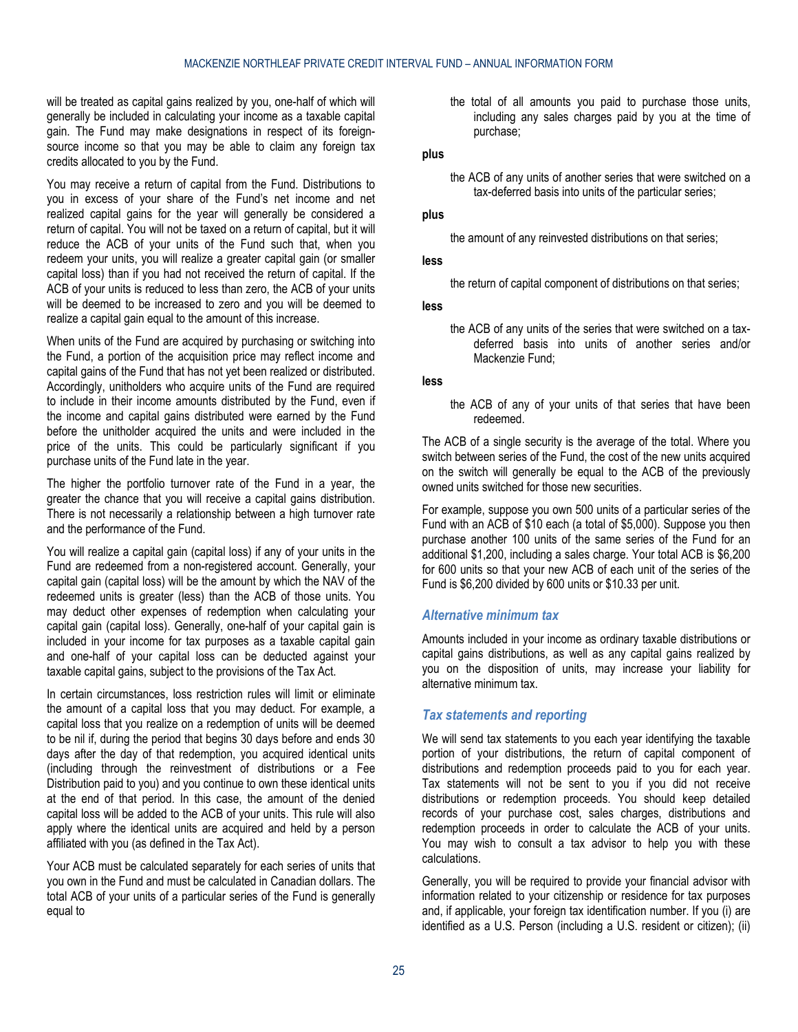will be treated as capital gains realized by you, one-half of which will generally be included in calculating your income as a taxable capital gain. The Fund may make designations in respect of its foreignsource income so that you may be able to claim any foreign tax credits allocated to you by the Fund.

You may receive a return of capital from the Fund. Distributions to you in excess of your share of the Fund's net income and net realized capital gains for the year will generally be considered a return of capital. You will not be taxed on a return of capital, but it will reduce the ACB of your units of the Fund such that, when you redeem your units, you will realize a greater capital gain (or smaller capital loss) than if you had not received the return of capital. If the ACB of your units is reduced to less than zero, the ACB of your units will be deemed to be increased to zero and you will be deemed to realize a capital gain equal to the amount of this increase.

When units of the Fund are acquired by purchasing or switching into the Fund, a portion of the acquisition price may reflect income and capital gains of the Fund that has not yet been realized or distributed. Accordingly, unitholders who acquire units of the Fund are required to include in their income amounts distributed by the Fund, even if the income and capital gains distributed were earned by the Fund before the unitholder acquired the units and were included in the price of the units. This could be particularly significant if you purchase units of the Fund late in the year.

The higher the portfolio turnover rate of the Fund in a year, the greater the chance that you will receive a capital gains distribution. There is not necessarily a relationship between a high turnover rate and the performance of the Fund.

You will realize a capital gain (capital loss) if any of your units in the Fund are redeemed from a non-registered account. Generally, your capital gain (capital loss) will be the amount by which the NAV of the redeemed units is greater (less) than the ACB of those units. You may deduct other expenses of redemption when calculating your capital gain (capital loss). Generally, one-half of your capital gain is included in your income for tax purposes as a taxable capital gain and one-half of your capital loss can be deducted against your taxable capital gains, subject to the provisions of the Tax Act.

In certain circumstances, loss restriction rules will limit or eliminate the amount of a capital loss that you may deduct. For example, a capital loss that you realize on a redemption of units will be deemed to be nil if, during the period that begins 30 days before and ends 30 days after the day of that redemption, you acquired identical units (including through the reinvestment of distributions or a Fee Distribution paid to you) and you continue to own these identical units at the end of that period. In this case, the amount of the denied capital loss will be added to the ACB of your units. This rule will also apply where the identical units are acquired and held by a person affiliated with you (as defined in the Tax Act).

Your ACB must be calculated separately for each series of units that you own in the Fund and must be calculated in Canadian dollars. The total ACB of your units of a particular series of the Fund is generally equal to

the total of all amounts you paid to purchase those units, including any sales charges paid by you at the time of purchase;

### **plus**

the ACB of any units of another series that were switched on a tax-deferred basis into units of the particular series;

# **plus**

the amount of any reinvested distributions on that series;

#### **less**

the return of capital component of distributions on that series;

#### **less**

the ACB of any units of the series that were switched on a taxdeferred basis into units of another series and/or Mackenzie Fund;

#### **less**

the ACB of any of your units of that series that have been redeemed.

The ACB of a single security is the average of the total. Where you switch between series of the Fund, the cost of the new units acquired on the switch will generally be equal to the ACB of the previously owned units switched for those new securities.

For example, suppose you own 500 units of a particular series of the Fund with an ACB of \$10 each (a total of \$5,000). Suppose you then purchase another 100 units of the same series of the Fund for an additional \$1,200, including a sales charge. Your total ACB is \$6,200 for 600 units so that your new ACB of each unit of the series of the Fund is \$6,200 divided by 600 units or \$10.33 per unit.

## *Alternative minimum tax*

Amounts included in your income as ordinary taxable distributions or capital gains distributions, as well as any capital gains realized by you on the disposition of units, may increase your liability for alternative minimum tax.

### *Tax statements and reporting*

We will send tax statements to you each year identifying the taxable portion of your distributions, the return of capital component of distributions and redemption proceeds paid to you for each year. Tax statements will not be sent to you if you did not receive distributions or redemption proceeds. You should keep detailed records of your purchase cost, sales charges, distributions and redemption proceeds in order to calculate the ACB of your units. You may wish to consult a tax advisor to help you with these calculations.

Generally, you will be required to provide your financial advisor with information related to your citizenship or residence for tax purposes and, if applicable, your foreign tax identification number. If you (i) are identified as a U.S. Person (including a U.S. resident or citizen); (ii)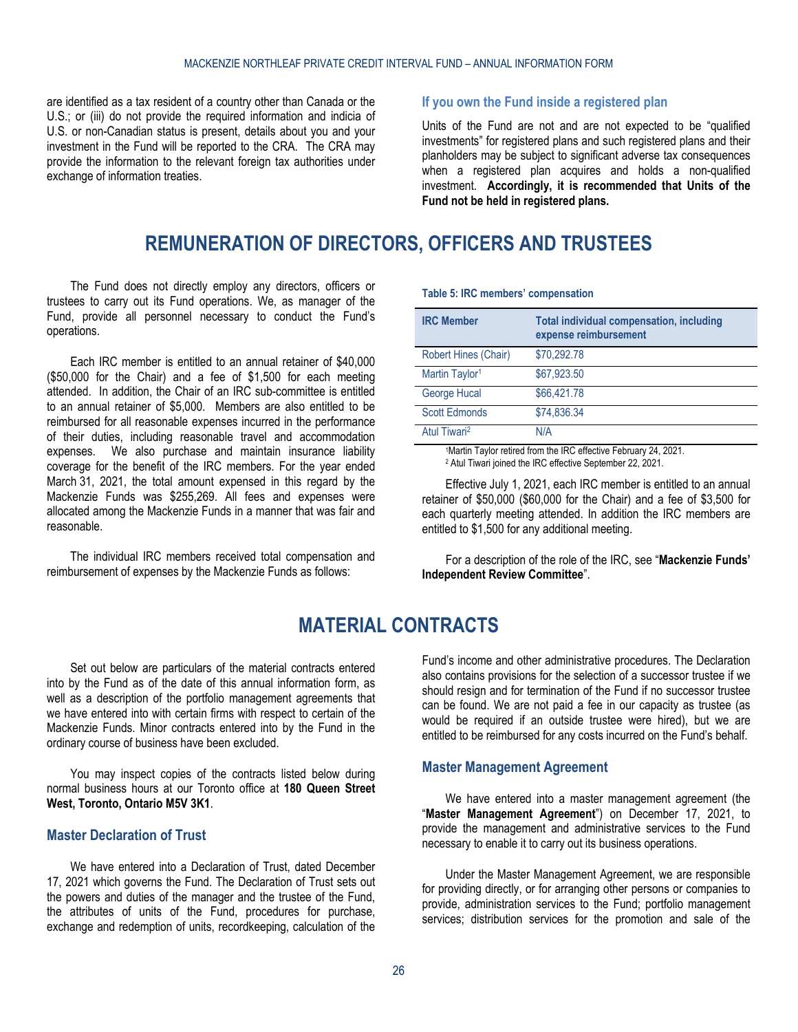are identified as a tax resident of a country other than Canada or the U.S.; or (iii) do not provide the required information and indicia of U.S. or non-Canadian status is present, details about you and your investment in the Fund will be reported to the CRA. The CRA may provide the information to the relevant foreign tax authorities under exchange of information treaties.

## **If you own the Fund inside a registered plan**

Units of the Fund are not and are not expected to be "qualified investments" for registered plans and such registered plans and their planholders may be subject to significant adverse tax consequences when a registered plan acquires and holds a non-qualified investment. **Accordingly, it is recommended that Units of the Fund not be held in registered plans.**

# **REMUNERATION OF DIRECTORS, OFFICERS AND TRUSTEES**

<span id="page-25-0"></span>The Fund does not directly employ any directors, officers or trustees to carry out its Fund operations. We, as manager of the Fund, provide all personnel necessary to conduct the Fund's operations.

Each IRC member is entitled to an annual retainer of \$40,000 (\$50,000 for the Chair) and a fee of \$1,500 for each meeting attended. In addition, the Chair of an IRC sub-committee is entitled to an annual retainer of \$5,000. Members are also entitled to be reimbursed for all reasonable expenses incurred in the performance of their duties, including reasonable travel and accommodation expenses. We also purchase and maintain insurance liability coverage for the benefit of the IRC members. For the year ended March 31, 2021, the total amount expensed in this regard by the Mackenzie Funds was \$255,269. All fees and expenses were allocated among the Mackenzie Funds in a manner that was fair and reasonable.

<span id="page-25-1"></span>The individual IRC members received total compensation and reimbursement of expenses by the Mackenzie Funds as follows:

**Table 5: IRC members' compensation**

| <b>IRC Member</b>          | Total individual compensation, including<br>expense reimbursement |
|----------------------------|-------------------------------------------------------------------|
| Robert Hines (Chair)       | \$70,292.78                                                       |
| Martin Taylor <sup>1</sup> | \$67,923.50                                                       |
| George Hucal               | \$66,421.78                                                       |
| <b>Scott Edmonds</b>       | \$74,836.34                                                       |
| Atul Tiwari <sup>2</sup>   | N/A                                                               |

1Martin Taylor retired from the IRC effective February 24, 2021. <sup>2</sup> Atul Tiwari joined the IRC effective September 22, 2021.

Effective July 1, 2021, each IRC member is entitled to an annual retainer of \$50,000 (\$60,000 for the Chair) and a fee of \$3,500 for each quarterly meeting attended. In addition the IRC members are entitled to \$1,500 for any additional meeting.

For a description of the role of the IRC, see "**[Mackenzie Funds'](#page-18-0)  [Independent Review Committee](#page-18-0)**".

# **MATERIAL CONTRACTS**

Set out below are particulars of the material contracts entered into by the Fund as of the date of this annual information form, as well as a description of the portfolio management agreements that we have entered into with certain firms with respect to certain of the Mackenzie Funds. Minor contracts entered into by the Fund in the ordinary course of business have been excluded.

You may inspect copies of the contracts listed below during normal business hours at our Toronto office at **180 Queen Street West, Toronto, Ontario M5V 3K1**.

# <span id="page-25-2"></span>**Master Declaration of Trust**

We have entered into a Declaration of Trust, dated December 17, 2021 which governs the Fund. The Declaration of Trust sets out the powers and duties of the manager and the trustee of the Fund, the attributes of units of the Fund, procedures for purchase, exchange and redemption of units, recordkeeping, calculation of the

Fund's income and other administrative procedures. The Declaration also contains provisions for the selection of a successor trustee if we should resign and for termination of the Fund if no successor trustee can be found. We are not paid a fee in our capacity as trustee (as would be required if an outside trustee were hired), but we are entitled to be reimbursed for any costs incurred on the Fund's behalf.

# <span id="page-25-3"></span>**Master Management Agreement**

We have entered into a master management agreement (the "**Master Management Agreement**") on December 17, 2021, to provide the management and administrative services to the Fund necessary to enable it to carry out its business operations.

Under the Master Management Agreement, we are responsible for providing directly, or for arranging other persons or companies to provide, administration services to the Fund; portfolio management services; distribution services for the promotion and sale of the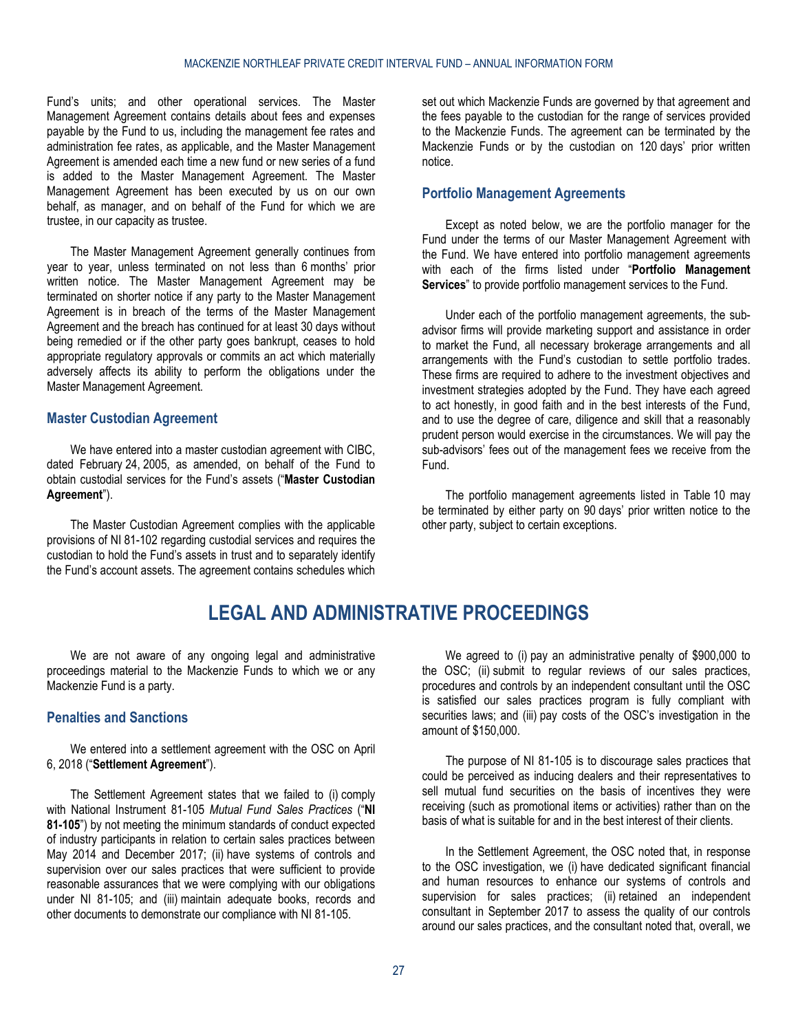Fund's units; and other operational services. The Master Management Agreement contains details about fees and expenses payable by the Fund to us, including the management fee rates and administration fee rates, as applicable, and the Master Management Agreement is amended each time a new fund or new series of a fund is added to the Master Management Agreement. The Master Management Agreement has been executed by us on our own behalf, as manager, and on behalf of the Fund for which we are trustee, in our capacity as trustee.

The Master Management Agreement generally continues from year to year, unless terminated on not less than 6 months' prior written notice. The Master Management Agreement may be terminated on shorter notice if any party to the Master Management Agreement is in breach of the terms of the Master Management Agreement and the breach has continued for at least 30 days without being remedied or if the other party goes bankrupt, ceases to hold appropriate regulatory approvals or commits an act which materially adversely affects its ability to perform the obligations under the Master Management Agreement.

## <span id="page-26-0"></span>**Master Custodian Agreement**

We have entered into a master custodian agreement with CIBC, dated February 24, 2005, as amended, on behalf of the Fund to obtain custodial services for the Fund's assets ("**Master Custodian Agreement**").

<span id="page-26-2"></span>The Master Custodian Agreement complies with the applicable provisions of NI 81-102 regarding custodial services and requires the custodian to hold the Fund's assets in trust and to separately identify the Fund's account assets. The agreement contains schedules which

set out which Mackenzie Funds are governed by that agreement and the fees payable to the custodian for the range of services provided to the Mackenzie Funds. The agreement can be terminated by the Mackenzie Funds or by the custodian on 120 days' prior written notice.

## <span id="page-26-1"></span>**Portfolio Management Agreements**

Except as noted below, we are the portfolio manager for the Fund under the terms of our Master Management Agreement with the Fund. We have entered into portfolio management agreements with each of the firms listed under "**Portfolio [Management](#page-13-0)  [Services](#page-13-0)**" to provide portfolio management services to the Fund.

Under each of the portfolio management agreements, the subadvisor firms will provide marketing support and assistance in order to market the Fund, all necessary brokerage arrangements and all arrangements with the Fund's custodian to settle portfolio trades. These firms are required to adhere to the investment objectives and investment strategies adopted by the Fund. They have each agreed to act honestly, in good faith and in the best interests of the Fund, and to use the degree of care, diligence and skill that a reasonably prudent person would exercise in the circumstances. We will pay the sub-advisors' fees out of the management fees we receive from the Fund.

The portfolio management agreements listed in Table 10 may be terminated by either party on 90 days' prior written notice to the other party, subject to certain exceptions.

# **LEGAL AND ADMINISTRATIVE PROCEEDINGS**

We are not aware of any ongoing legal and administrative proceedings material to the Mackenzie Funds to which we or any Mackenzie Fund is a party.

# <span id="page-26-3"></span>**Penalties and Sanctions**

We entered into a settlement agreement with the OSC on April 6, 2018 ("**Settlement Agreement**").

The Settlement Agreement states that we failed to (i) comply with National Instrument 81-105 *Mutual Fund Sales Practices* ("**NI 81-105**") by not meeting the minimum standards of conduct expected of industry participants in relation to certain sales practices between May 2014 and December 2017; (ii) have systems of controls and supervision over our sales practices that were sufficient to provide reasonable assurances that we were complying with our obligations under NI 81-105; and (iii) maintain adequate books, records and other documents to demonstrate our compliance with NI 81-105.

We agreed to (i) pay an administrative penalty of \$900,000 to the OSC; (ii) submit to regular reviews of our sales practices, procedures and controls by an independent consultant until the OSC is satisfied our sales practices program is fully compliant with securities laws; and (iii) pay costs of the OSC's investigation in the amount of \$150,000.

The purpose of NI 81-105 is to discourage sales practices that could be perceived as inducing dealers and their representatives to sell mutual fund securities on the basis of incentives they were receiving (such as promotional items or activities) rather than on the basis of what is suitable for and in the best interest of their clients.

In the Settlement Agreement, the OSC noted that, in response to the OSC investigation, we (i) have dedicated significant financial and human resources to enhance our systems of controls and supervision for sales practices; (ii) retained an independent consultant in September 2017 to assess the quality of our controls around our sales practices, and the consultant noted that, overall, we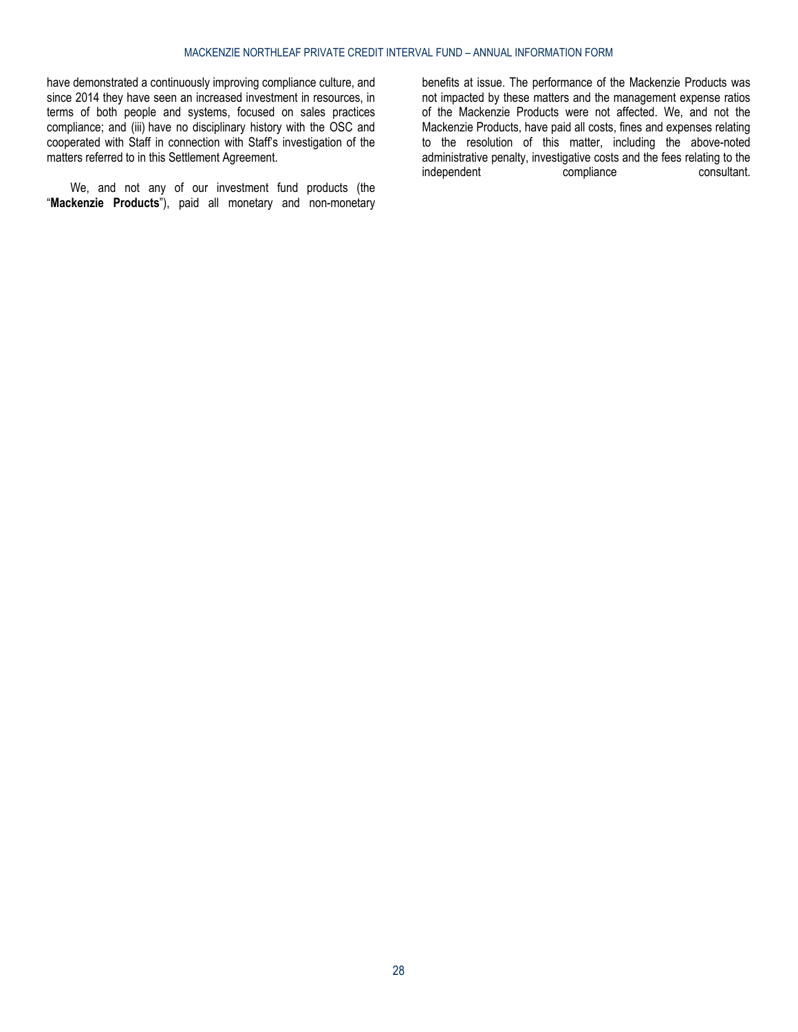have demonstrated a continuously improving compliance culture, and since 2014 they have seen an increased investment in resources, in terms of both people and systems, focused on sales practices compliance; and (iii) have no disciplinary history with the OSC and cooperated with Staff in connection with Staff's investigation of the matters referred to in this Settlement Agreement.

We, and not any of our investment fund products (the "**Mackenzie Products**"), paid all monetary and non-monetary

benefits at issue. The performance of the Mackenzie Products was not impacted by these matters and the management expense ratios of the Mackenzie Products were not affected. We, and not the Mackenzie Products, have paid all costs, fines and expenses relating to the resolution of this matter, including the above-noted administrative penalty, investigative costs and the fees relating to the independent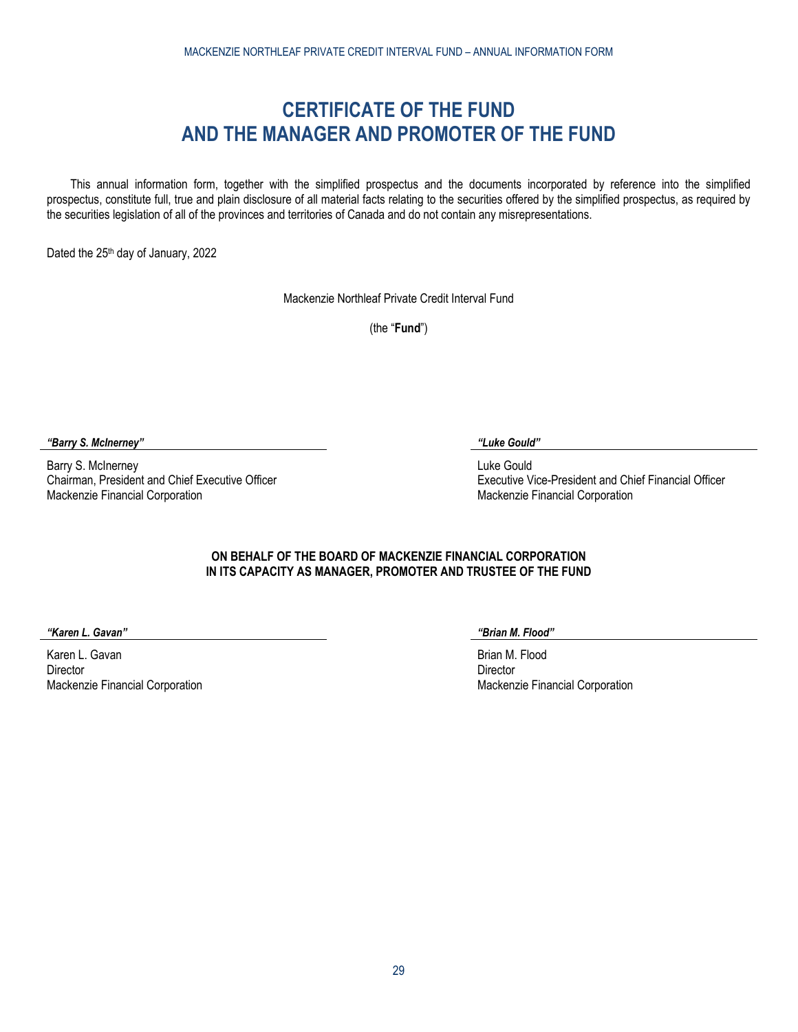# **CERTIFICATE OF THE FUND AND THE MANAGER AND PROMOTER OF THE FUND**

<span id="page-28-0"></span>This annual information form, together with the simplified prospectus and the documents incorporated by reference into the simplified prospectus, constitute full, true and plain disclosure of all material facts relating to the securities offered by the simplified prospectus, as required by the securities legislation of all of the provinces and territories of Canada and do not contain any misrepresentations.

Dated the 25<sup>th</sup> day of January, 2022

Mackenzie Northleaf Private Credit Interval Fund

(the "**Fund**")

*"Barry S. McInerney" "Luke Gould"*

Barry S. McInerney Chairman, President and Chief Executive Officer Mackenzie Financial Corporation

Luke Gould Executive Vice-President and Chief Financial Officer Mackenzie Financial Corporation

# **ON BEHALF OF THE BOARD OF MACKENZIE FINANCIAL CORPORATION IN ITS CAPACITY AS MANAGER, PROMOTER AND TRUSTEE OF THE FUND**

*"Karen L. Gavan" "Brian M. Flood"*

Karen L. Gavan **Director** Mackenzie Financial Corporation

Brian M. Flood **Director** Mackenzie Financial Corporation